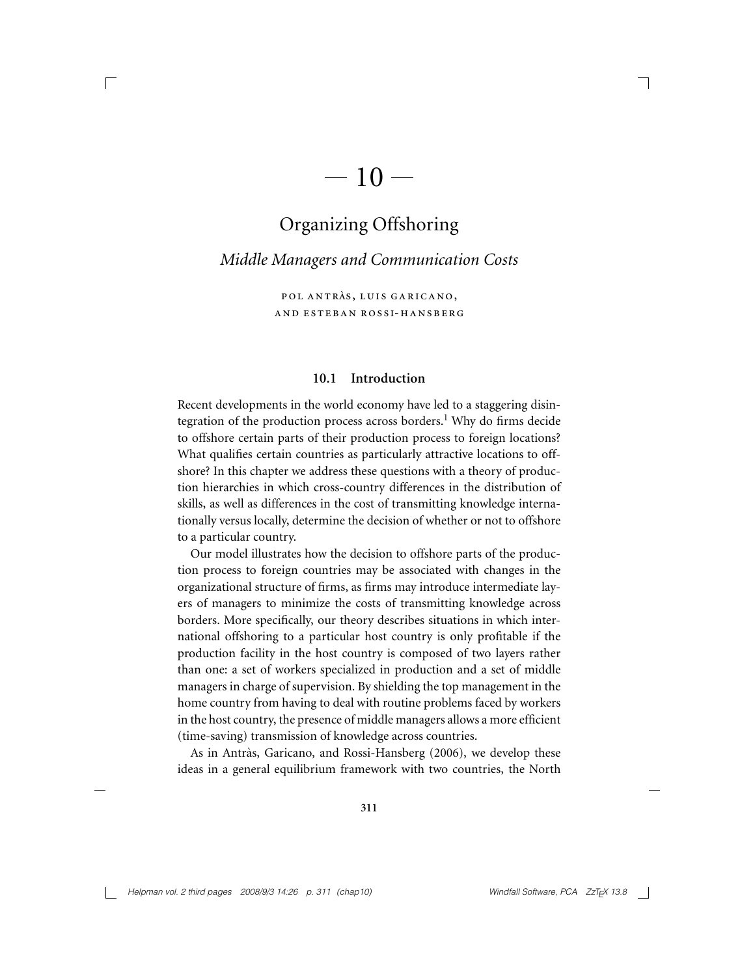# $-10-$

 $\Box$ 

# Organizing Offshoring

*Middle Managers and Communication Costs*

POL ANTRÀS, LUIS GARICANO, and esteban ross i-hansberg

#### **10.1 Introduction**

Recent developments in the world economy have led to a staggering disintegration of the production process across borders.<sup>1</sup> Why do firms decide to offshore certain parts of their production process to foreign locations? What qualifies certain countries as particularly attractive locations to offshore? In this chapter we address these questions with a theory of production hierarchies in which cross-country differences in the distribution of skills, as well as differences in the cost of transmitting knowledge internationally versus locally, determine the decision of whether or not to offshore to a particular country.

Our model illustrates how the decision to offshore parts of the production process to foreign countries may be associated with changes in the organizational structure of firms, as firms may introduce intermediate layers of managers to minimize the costs of transmitting knowledge across borders. More specifically, our theory describes situations in which international offshoring to a particular host country is only profitable if the production facility in the host country is composed of two layers rather than one: a set of workers specialized in production and a set of middle managers in charge of supervision. By shielding the top management in the home country from having to deal with routine problems faced by workers in the host country, the presence of middle managers allows a more efficient (time-saving) transmission of knowledge across countries.

As in Antràs, Garicano, and Rossi-Hansberg (2006), we develop these ideas in a general equilibrium framework with two countries, the North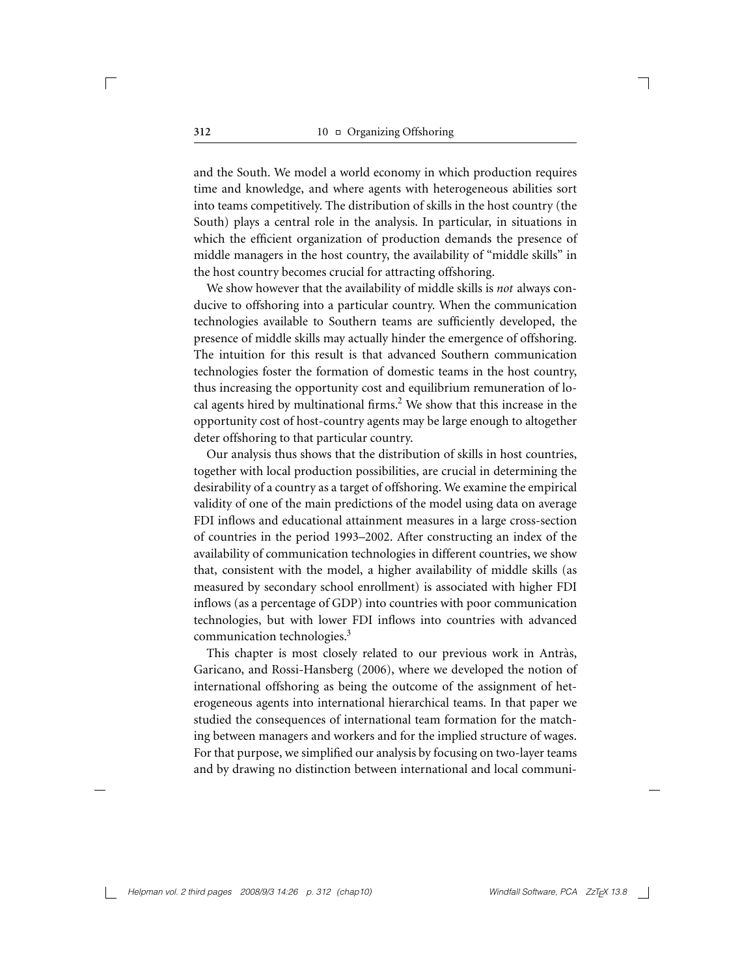and the South. We model a world economy in which production requires time and knowledge, and where agents with heterogeneous abilities sort into teams competitively. The distribution of skills in the host country (the South) plays a central role in the analysis. In particular, in situations in which the efficient organization of production demands the presence of middle managers in the host country, the availability of "middle skills" in the host country becomes crucial for attracting offshoring.

We show however that the availability of middle skills is *not* always conducive to offshoring into a particular country. When the communication technologies available to Southern teams are sufficiently developed, the presence of middle skills may actually hinder the emergence of offshoring. The intuition for this result is that advanced Southern communication technologies foster the formation of domestic teams in the host country, thus increasing the opportunity cost and equilibrium remuneration of local agents hired by multinational firms.<sup>2</sup> We show that this increase in the opportunity cost of host-country agents may be large enough to altogether deter offshoring to that particular country.

Our analysis thus shows that the distribution of skills in host countries, together with local production possibilities, are crucial in determining the desirability of a country as a target of offshoring. We examine the empirical validity of one of the main predictions of the model using data on average FDI inflows and educational attainment measures in a large cross-section of countries in the period 1993–2002. After constructing an index of the availability of communication technologies in different countries, we show that, consistent with the model, a higher availability of middle skills (as measured by secondary school enrollment) is associated with higher FDI inflows (as a percentage of GDP) into countries with poor communication technologies, but with lower FDI inflows into countries with advanced communication technologies.3

This chapter is most closely related to our previous work in Antràs, Garicano, and Rossi-Hansberg (2006), where we developed the notion of international offshoring as being the outcome of the assignment of heterogeneous agents into international hierarchical teams. In that paper we studied the consequences of international team formation for the matching between managers and workers and for the implied structure of wages. For that purpose, we simplified our analysis by focusing on two-layer teams and by drawing no distinction between international and local communi-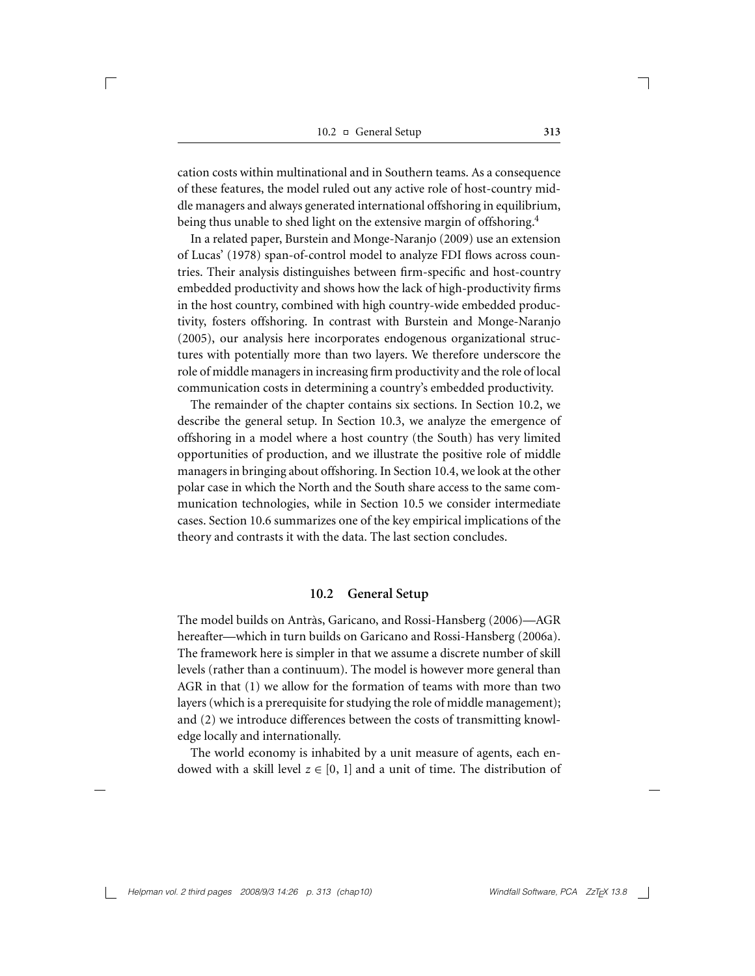cation costs within multinational and in Southern teams. As a consequence of these features, the model ruled out any active role of host-country middle managers and always generated international offshoring in equilibrium, being thus unable to shed light on the extensive margin of offshoring.<sup>4</sup>

In a related paper, Burstein and Monge-Naranjo (2009) use an extension of Lucas' (1978) span-of-control model to analyze FDI flows across countries. Their analysis distinguishes between firm-specific and host-country embedded productivity and shows how the lack of high-productivity firms in the host country, combined with high country-wide embedded productivity, fosters offshoring. In contrast with Burstein and Monge-Naranjo (2005), our analysis here incorporates endogenous organizational structures with potentially more than two layers. We therefore underscore the role of middle managers in increasing firm productivity and the role of local communication costs in determining a country's embedded productivity.

The remainder of the chapter contains six sections. In Section 10.2, we describe the general setup. In Section 10.3, we analyze the emergence of offshoring in a model where a host country (the South) has very limited opportunities of production, and we illustrate the positive role of middle managers in bringing about offshoring. In Section 10.4, we look at the other polar case in which the North and the South share access to the same communication technologies, while in Section 10.5 we consider intermediate cases. Section 10.6 summarizes one of the key empirical implications of the theory and contrasts it with the data. The last section concludes.

#### **10.2 General Setup**

The model builds on Antràs, Garicano, and Rossi-Hansberg (2006)—AGR hereafter—which in turn builds on Garicano and Rossi-Hansberg (2006a). The framework here is simpler in that we assume a discrete number of skill levels (rather than a continuum). The model is however more general than AGR in that (1) we allow for the formation of teams with more than two layers (which is a prerequisite for studying the role of middle management); and (2) we introduce differences between the costs of transmitting knowledge locally and internationally.

The world economy is inhabited by a unit measure of agents, each endowed with a skill level  $z \in [0, 1]$  and a unit of time. The distribution of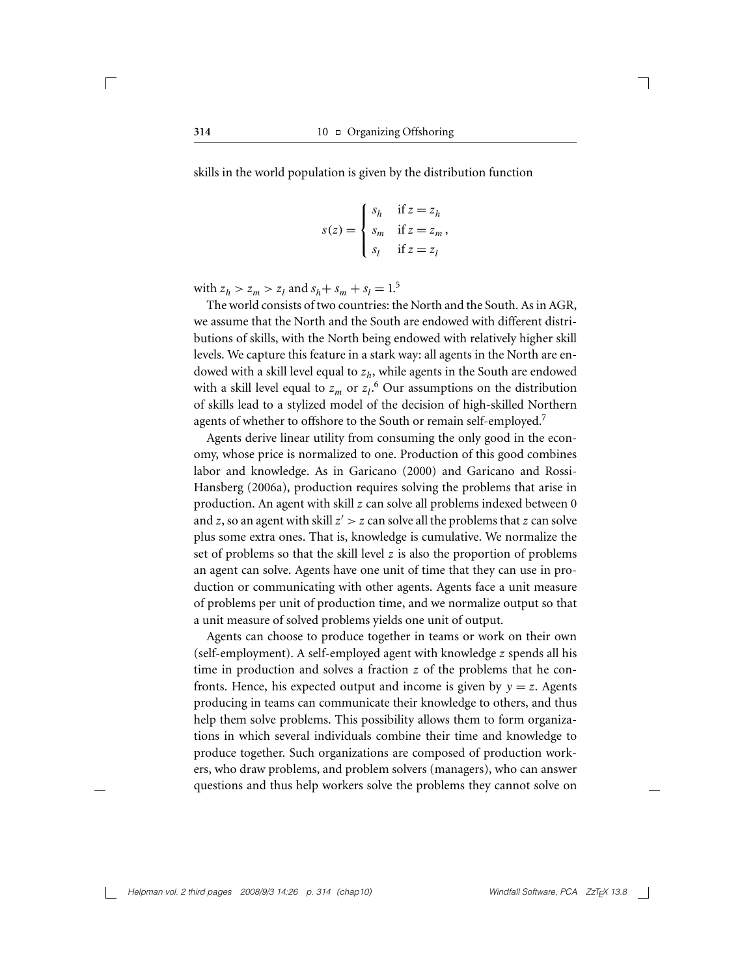skills in the world population is given by the distribution function

$$
s(z) = \begin{cases} s_h & \text{if } z = z_h \\ s_m & \text{if } z = z_m, \\ s_l & \text{if } z = z_l \end{cases}
$$

with  $z_h > z_m > z_l$  and  $s_h + s_m + s_l = 1.5$ 

The world consists of two countries: the North and the South. As in AGR, we assume that the North and the South are endowed with different distributions of skills, with the North being endowed with relatively higher skill levels. We capture this feature in a stark way: all agents in the North are endowed with a skill level equal to *zh*, while agents in the South are endowed with a skill level equal to  $z_m$  or  $z_l$ .<sup>6</sup> Our assumptions on the distribution of skills lead to a stylized model of the decision of high-skilled Northern agents of whether to offshore to the South or remain self-employed.<sup>7</sup>

Agents derive linear utility from consuming the only good in the economy, whose price is normalized to one. Production of this good combines labor and knowledge. As in Garicano (2000) and Garicano and Rossi-Hansberg (2006a), production requires solving the problems that arise in production. An agent with skill *z* can solve all problems indexed between 0 and *z*, so an agent with skill *z > z* can solve all the problems that *z* can solve plus some extra ones. That is, knowledge is cumulative. We normalize the set of problems so that the skill level *z* is also the proportion of problems an agent can solve. Agents have one unit of time that they can use in production or communicating with other agents. Agents face a unit measure of problems per unit of production time, and we normalize output so that a unit measure of solved problems yields one unit of output.

Agents can choose to produce together in teams or work on their own (self-employment). A self-employed agent with knowledge *z* spends all his time in production and solves a fraction *z* of the problems that he confronts. Hence, his expected output and income is given by  $y = z$ . Agents producing in teams can communicate their knowledge to others, and thus help them solve problems. This possibility allows them to form organizations in which several individuals combine their time and knowledge to produce together. Such organizations are composed of production workers, who draw problems, and problem solvers (managers), who can answer questions and thus help workers solve the problems they cannot solve on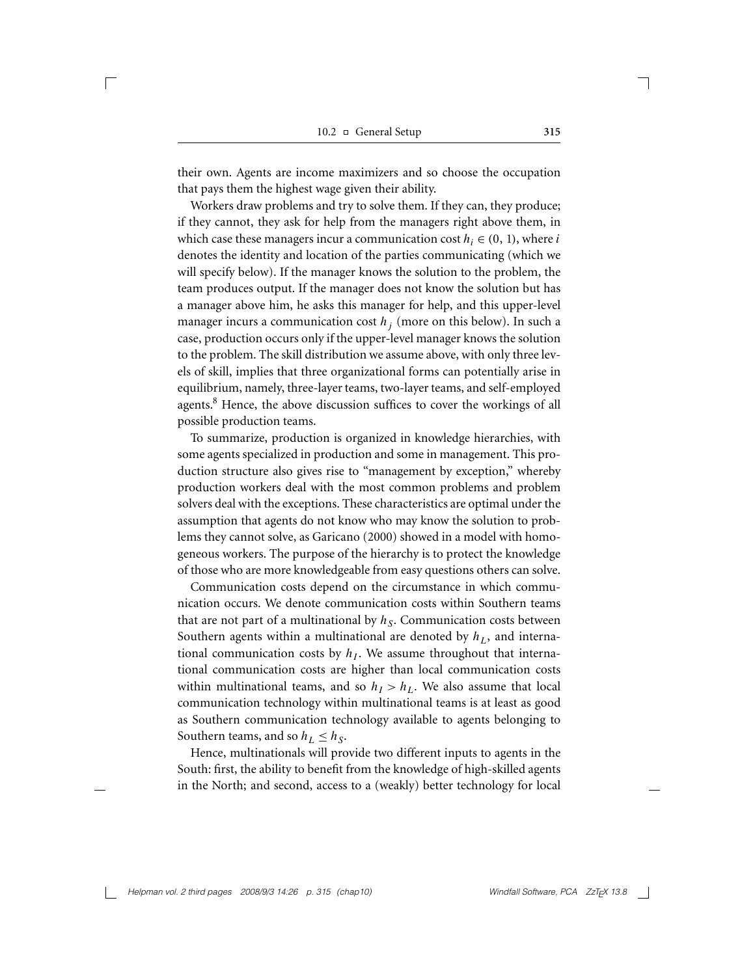their own. Agents are income maximizers and so choose the occupation that pays them the highest wage given their ability.

Workers draw problems and try to solve them. If they can, they produce; if they cannot, they ask for help from the managers right above them, in which case these managers incur a communication cost  $h_i \in (0, 1)$ , where *i* denotes the identity and location of the parties communicating (which we will specify below). If the manager knows the solution to the problem, the team produces output. If the manager does not know the solution but has a manager above him, he asks this manager for help, and this upper-level manager incurs a communication cost  $h_j$  (more on this below). In such a case, production occurs only if the upper-level manager knows the solution to the problem. The skill distribution we assume above, with only three levels of skill, implies that three organizational forms can potentially arise in equilibrium, namely, three-layer teams, two-layer teams, and self-employed agents.<sup>8</sup> Hence, the above discussion suffices to cover the workings of all possible production teams.

To summarize, production is organized in knowledge hierarchies, with some agents specialized in production and some in management. This production structure also gives rise to "management by exception," whereby production workers deal with the most common problems and problem solvers deal with the exceptions. These characteristics are optimal under the assumption that agents do not know who may know the solution to problems they cannot solve, as Garicano (2000) showed in a model with homogeneous workers. The purpose of the hierarchy is to protect the knowledge of those who are more knowledgeable from easy questions others can solve.

Communication costs depend on the circumstance in which communication occurs. We denote communication costs within Southern teams that are not part of a multinational by  $h<sub>S</sub>$ . Communication costs between Southern agents within a multinational are denoted by  $h<sub>L</sub>$ , and international communication costs by  $h<sub>I</sub>$ . We assume throughout that international communication costs are higher than local communication costs within multinational teams, and so  $h<sub>I</sub> > h<sub>L</sub>$ . We also assume that local communication technology within multinational teams is at least as good as Southern communication technology available to agents belonging to Southern teams, and so  $h_L \leq h_S$ .

Hence, multinationals will provide two different inputs to agents in the South: first, the ability to benefit from the knowledge of high-skilled agents in the North; and second, access to a (weakly) better technology for local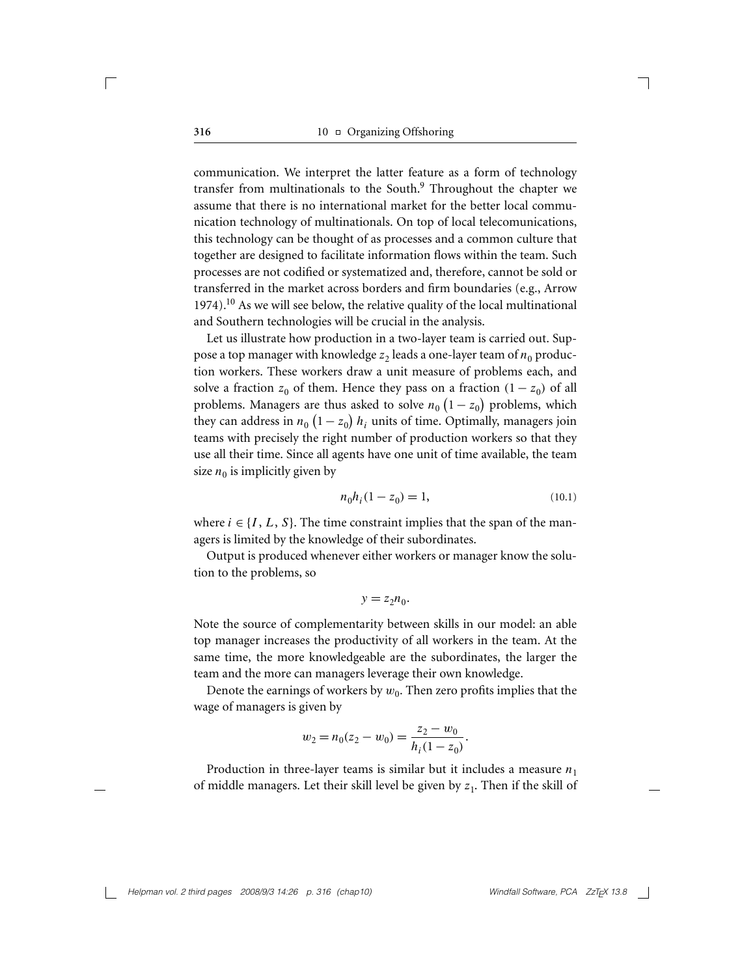communication. We interpret the latter feature as a form of technology transfer from multinationals to the South.<sup>9</sup> Throughout the chapter we assume that there is no international market for the better local communication technology of multinationals. On top of local telecomunications, this technology can be thought of as processes and a common culture that together are designed to facilitate information flows within the team. Such processes are not codified or systematized and, therefore, cannot be sold or transferred in the market across borders and firm boundaries (e.g., Arrow 1974).10 As we will see below, the relative quality of the local multinational and Southern technologies will be crucial in the analysis.

Let us illustrate how production in a two-layer team is carried out. Suppose a top manager with knowledge  $z_2$  leads a one-layer team of  $n_0$  production workers. These workers draw a unit measure of problems each, and solve a fraction  $z_0$  of them. Hence they pass on a fraction  $(1 - z_0)$  of all problems. Managers are thus asked to solve  $n_0 \left(1 - z_0\right)$  problems, which they can address in  $n_0$   $(1-z_0)$   $h_i$  units of time. Optimally, managers join teams with precisely the right number of production workers so that they use all their time. Since all agents have one unit of time available, the team size  $n_0$  is implicitly given by

$$
n_0 h_i (1 - z_0) = 1,\t(10.1)
$$

where  $i \in \{I, L, S\}$ . The time constraint implies that the span of the managers is limited by the knowledge of their subordinates.

Output is produced whenever either workers or manager know the solution to the problems, so

$$
y = z_2 n_0.
$$

Note the source of complementarity between skills in our model: an able top manager increases the productivity of all workers in the team. At the same time, the more knowledgeable are the subordinates, the larger the team and the more can managers leverage their own knowledge.

Denote the earnings of workers by  $w_0$ . Then zero profits implies that the wage of managers is given by

$$
w_2 = n_0(z_2 - w_0) = \frac{z_2 - w_0}{h_i(1 - z_0)}.
$$

Production in three-layer teams is similar but it includes a measure  $n_1$ of middle managers. Let their skill level be given by  $z_1$ . Then if the skill of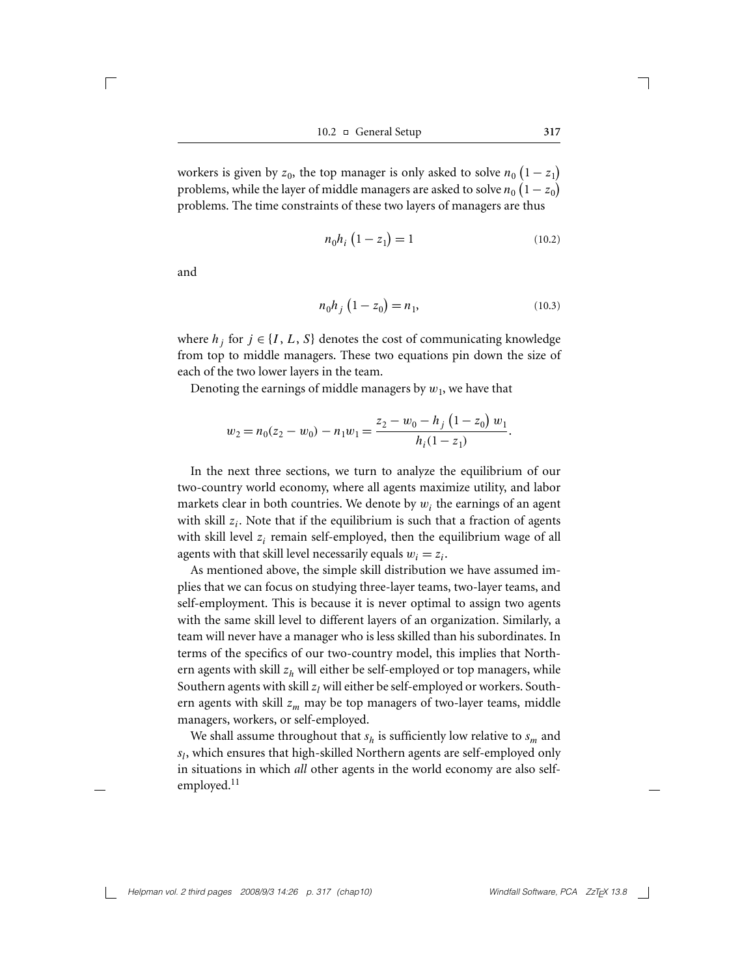10.2 General Setup **317**

workers is given by  $z_0$ , the top manager is only asked to solve  $n_0(1-z_1)$ problems, while the layer of middle managers are asked to solve  $n_0\left(1-z_0\right)$ problems. The time constraints of these two layers of managers are thus

$$
n_0 h_i \left( 1 - z_1 \right) = 1 \tag{10.2}
$$

and

 $\sqrt{2}$ 

$$
n_0 h_j \left( 1 - z_0 \right) = n_1,\tag{10.3}
$$

where  $h_j$  for  $j \in \{I, L, S\}$  denotes the cost of communicating knowledge from top to middle managers. These two equations pin down the size of each of the two lower layers in the team.

Denoting the earnings of middle managers by  $w_1$ , we have that

$$
w_2 = n_0(z_2 - w_0) - n_1 w_1 = \frac{z_2 - w_0 - h_j (1 - z_0) w_1}{h_i (1 - z_1)}.
$$

In the next three sections, we turn to analyze the equilibrium of our two-country world economy, where all agents maximize utility, and labor markets clear in both countries. We denote by  $w_i$  the earnings of an agent with skill  $z_i$ . Note that if the equilibrium is such that a fraction of agents with skill level *z<sub>i</sub>* remain self-employed, then the equilibrium wage of all agents with that skill level necessarily equals  $w_i = z_i$ .

As mentioned above, the simple skill distribution we have assumed implies that we can focus on studying three-layer teams, two-layer teams, and self-employment. This is because it is never optimal to assign two agents with the same skill level to different layers of an organization. Similarly, a team will never have a manager who is less skilled than his subordinates. In terms of the specifics of our two-country model, this implies that Northern agents with skill  $z<sub>h</sub>$  will either be self-employed or top managers, while Southern agents with skill  $z_l$  will either be self-employed or workers. Southern agents with skill  $z_m$  may be top managers of two-layer teams, middle managers, workers, or self-employed.

We shall assume throughout that  $s_h$  is sufficiently low relative to  $s_m$  and *sl*, which ensures that high-skilled Northern agents are self-employed only in situations in which *all* other agents in the world economy are also selfemployed.<sup>11</sup>

*Helpman vol. 2 third pages 2008/9/3 14:26 p. 317 (chap10)* Windfall Software, PCA ZzT<sub>E</sub>X 13.8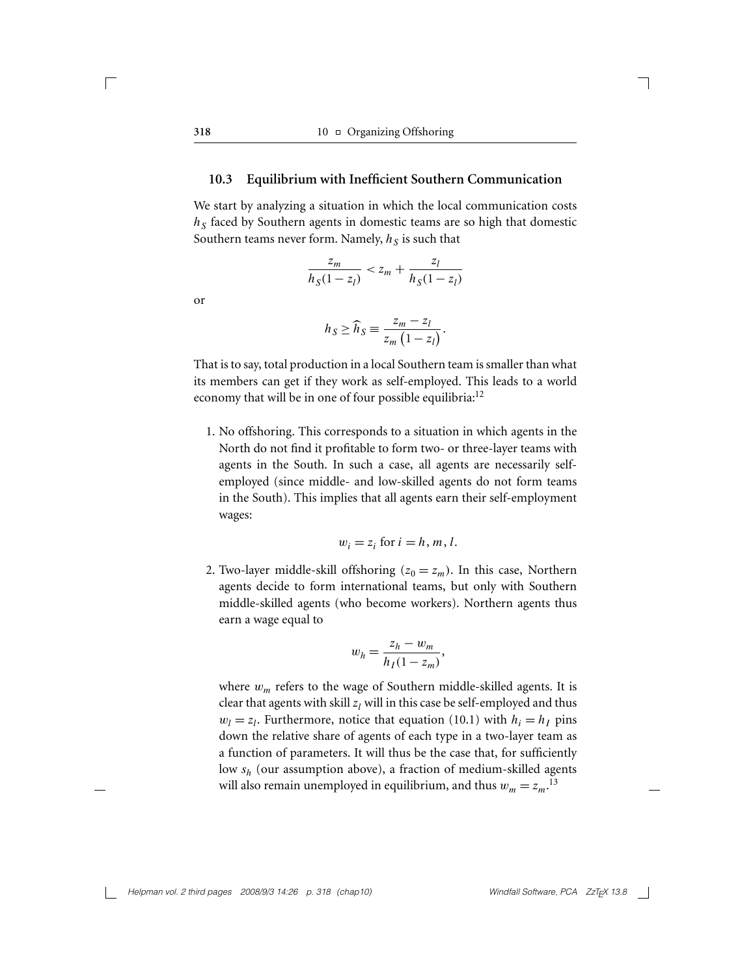#### **10.3 Equilibrium with Inefficient Southern Communication**

We start by analyzing a situation in which the local communication costs  $h<sub>S</sub>$  faced by Southern agents in domestic teams are so high that domestic Southern teams never form. Namely,  $h<sub>S</sub>$  is such that

$$
\frac{z_m}{h_S(1-z_l)} < z_m + \frac{z_l}{h_S(1-z_l)}
$$

or

$$
h_S \ge \widehat{h}_S \equiv \frac{z_m - z_l}{z_m \left(1 - z_l\right)}.
$$

That is to say, total production in a local Southern team is smaller than what its members can get if they work as self-employed. This leads to a world economy that will be in one of four possible equilibria: $12$ 

1. No offshoring. This corresponds to a situation in which agents in the North do not find it profitable to form two- or three-layer teams with agents in the South. In such a case, all agents are necessarily selfemployed (since middle- and low-skilled agents do not form teams in the South). This implies that all agents earn their self-employment wages:

$$
w_i = z_i \text{ for } i = h, m, l.
$$

2. Two-layer middle-skill offshoring  $(z_0 = z_m)$ . In this case, Northern agents decide to form international teams, but only with Southern middle-skilled agents (who become workers). Northern agents thus earn a wage equal to

$$
w_h = \frac{z_h - w_m}{h_I(1 - z_m)},
$$

where  $w_m$  refers to the wage of Southern middle-skilled agents. It is clear that agents with skill  $z_l$  will in this case be self-employed and thus  $w_l = z_l$ . Furthermore, notice that equation (10.1) with  $h_i = h_l$  pins down the relative share of agents of each type in a two-layer team as a function of parameters. It will thus be the case that, for sufficiently low *sh* (our assumption above), a fraction of medium-skilled agents will also remain unemployed in equilibrium, and thus  $w_m = z_m$ .<sup>13</sup>

*Helpman vol. 2 third pages 2008/9/3 14:26 p. 318 (chap10)* Windfall Software, PCA ZzT<sub>E</sub>X 13.8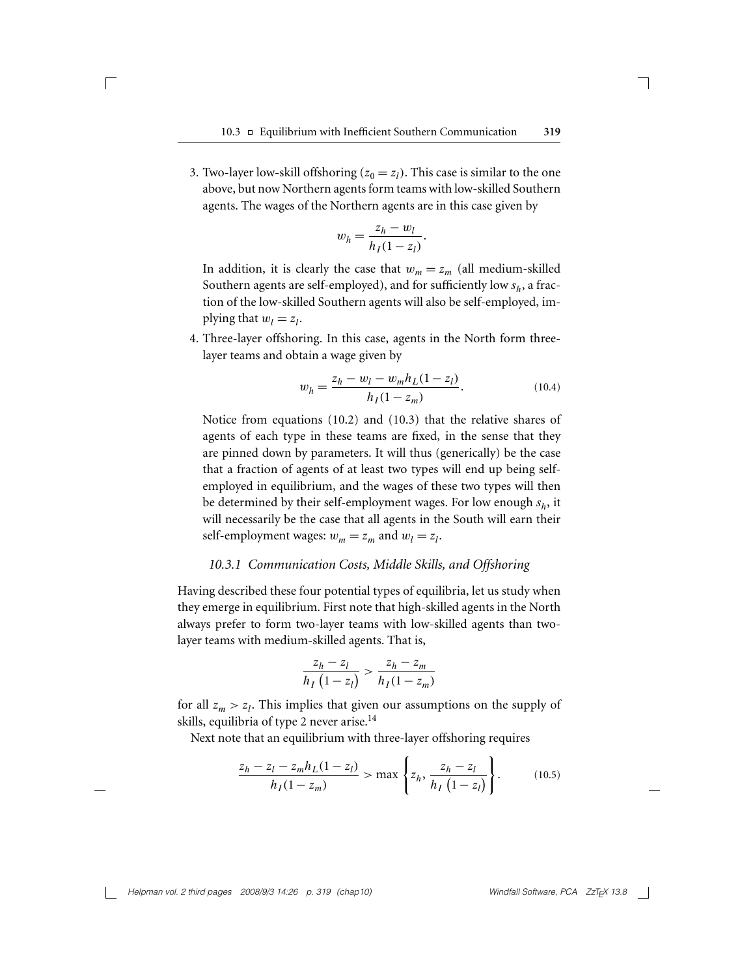3. Two-layer low-skill offshoring  $(z_0 = z_l)$ . This case is similar to the one above, but now Northern agents form teams with low-skilled Southern agents. The wages of the Northern agents are in this case given by

 $\sqrt{2}$ 

$$
w_h = \frac{z_h - w_l}{h_I(1 - z_l)}.
$$

In addition, it is clearly the case that  $w_m = z_m$  (all medium-skilled Southern agents are self-employed), and for sufficiently low  $s_h$ , a fraction of the low-skilled Southern agents will also be self-employed, implying that  $w_l = z_l$ .

4. Three-layer offshoring. In this case, agents in the North form threelayer teams and obtain a wage given by

$$
w_h = \frac{z_h - w_l - w_m h_L (1 - z_l)}{h_I (1 - z_m)}.
$$
\n(10.4)

Notice from equations (10.2) and (10.3) that the relative shares of agents of each type in these teams are fixed, in the sense that they are pinned down by parameters. It will thus (generically) be the case that a fraction of agents of at least two types will end up being selfemployed in equilibrium, and the wages of these two types will then be determined by their self-employment wages. For low enough *sh*, it will necessarily be the case that all agents in the South will earn their self-employment wages:  $w_m = z_m$  and  $w_l = z_l$ .

#### *10.3.1 Communication Costs, Middle Skills, and Offshoring*

Having described these four potential types of equilibria, let us study when they emerge in equilibrium. First note that high-skilled agents in the North always prefer to form two-layer teams with low-skilled agents than twolayer teams with medium-skilled agents. That is,

$$
\frac{z_h - z_l}{h_I(1 - z_l)} > \frac{z_h - z_m}{h_I(1 - z_m)}
$$

for all  $z_m > z_l$ . This implies that given our assumptions on the supply of skills, equilibria of type 2 never arise.<sup>14</sup>

Next note that an equilibrium with three-layer offshoring requires

$$
\frac{z_h - z_l - z_m h_L (1 - z_l)}{h_I (1 - z_m)} > \max \left\{ z_h, \frac{z_h - z_l}{h_I (1 - z_l)} \right\}.
$$
 (10.5)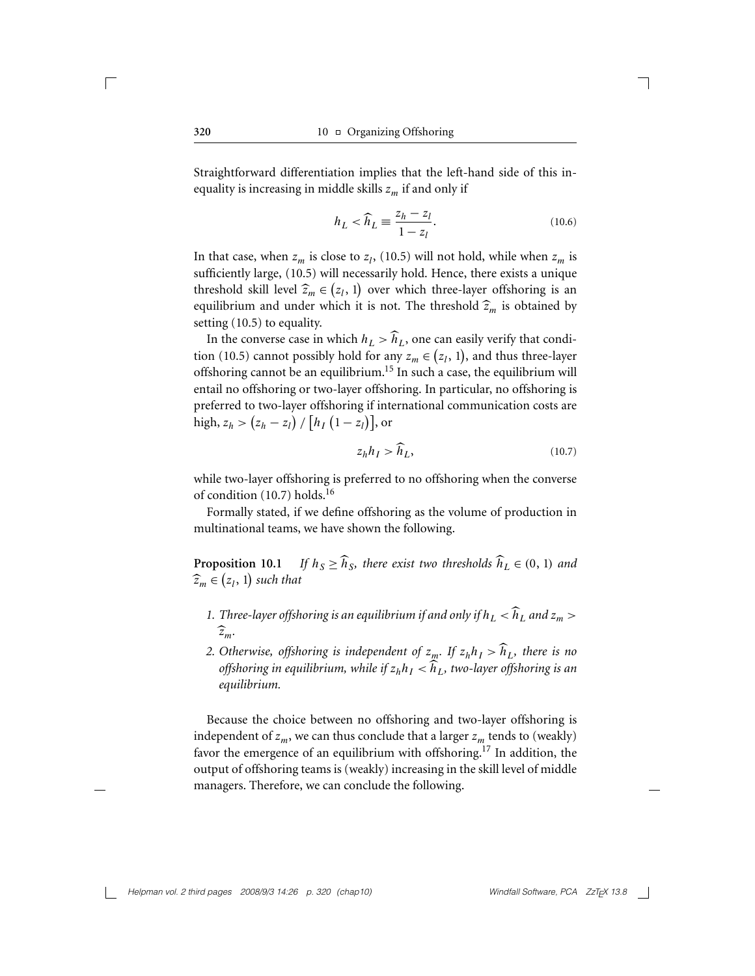Straightforward differentiation implies that the left-hand side of this inequality is increasing in middle skills *zm* if and only if

$$
h_L < \widehat{h}_L \equiv \frac{z_h - z_l}{1 - z_l}.\tag{10.6}
$$

In that case, when  $z_m$  is close to  $z_l$ , (10.5) will not hold, while when  $z_m$  is sufficiently large, (10.5) will necessarily hold. Hence, there exists a unique threshold skill level  $\hat{z}_m \in (z_l, 1)$  over which three-layer offshoring is an aquilibrium and under which it is not. The threshold  $\hat{z}_m$  is obtained by equilibrium and under which it is not. The threshold  $\hat{z}_m$  is obtained by setting (10.5) to equality.

In the converse case in which  $h_L > \hat{h}_L$ , one can easily verify that condition (10.5) cannot possibly hold for any  $z_m \in (z_l, 1)$ , and thus three-layer offshoring cannot be an equilibrium.<sup>15</sup> In such a case, the equilibrium will entail no offshoring or two-layer offshoring. In particular, no offshoring is preferred to two-layer offshoring if international communication costs are  $\text{high, } z_h > (z_h - z_l) / [h_I (1 - z_l)], \text{or}$ 

$$
z_h h_I > \widehat{h}_L,\tag{10.7}
$$

while two-layer offshoring is preferred to no offshoring when the converse of condition  $(10.7)$  holds.<sup>16</sup>

Formally stated, if we define offshoring as the volume of production in multinational teams, we have shown the following.

**Proposition 10.1** *If*  $h_S \ge \widehat{h}_S$ *, there exist two thresholds*  $\widehat{h}_L \in (0, 1)$  *and*  $\widehat{z}_m \in (z_l, 1)$  such that

- *1. Three-layer offshoring is an equilibrium if and only if*  $h_L < \widehat{h}_L$  *and*  $z_m > 0$ *zm.*
- *2. Otherwise, offshoring is independent of*  $z_m$ *. If*  $z_h h_l > \widehat{h}_l$ *, there is no offshoring in equilibrium, while if*  $z_h h_I < h_L$ *, two-layer offshoring is an equilibrium.*

Because the choice between no offshoring and two-layer offshoring is independent of  $z_m$ , we can thus conclude that a larger  $z_m$  tends to (weakly) favor the emergence of an equilibrium with offshoring.<sup>17</sup> In addition, the output of offshoring teams is (weakly) increasing in the skill level of middle managers. Therefore, we can conclude the following.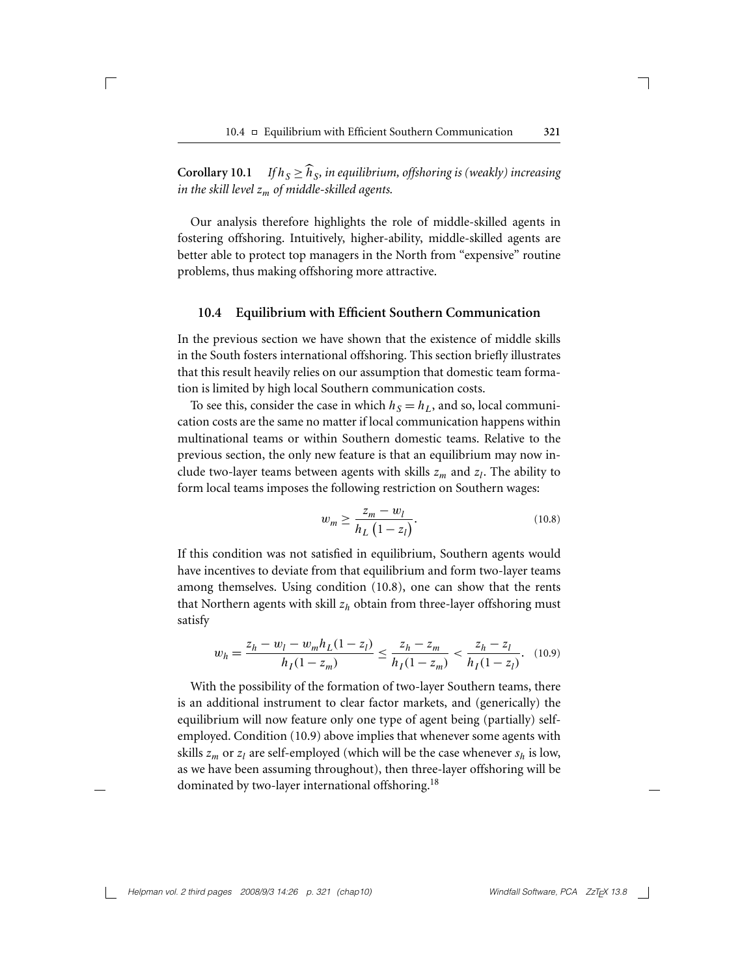**Corollary 10.1** *If*  $h_S \ge \widehat{h}_S$ *, in equilibrium, offshoring is (weakly) increasing in the skill level zm of middle-skilled agents.*

 $\sqrt{2}$ 

Our analysis therefore highlights the role of middle-skilled agents in fostering offshoring. Intuitively, higher-ability, middle-skilled agents are better able to protect top managers in the North from "expensive" routine problems, thus making offshoring more attractive.

#### **10.4 Equilibrium with Efficient Southern Communication**

In the previous section we have shown that the existence of middle skills in the South fosters international offshoring. This section briefly illustrates that this result heavily relies on our assumption that domestic team formation is limited by high local Southern communication costs.

To see this, consider the case in which  $h<sub>S</sub> = h<sub>L</sub>$ , and so, local communication costs are the same no matter if local communication happens within multinational teams or within Southern domestic teams. Relative to the previous section, the only new feature is that an equilibrium may now include two-layer teams between agents with skills  $z_m$  and  $z_l$ . The ability to form local teams imposes the following restriction on Southern wages:

$$
w_m \ge \frac{z_m - w_l}{h_L \left(1 - z_l\right)}.\tag{10.8}
$$

If this condition was not satisfied in equilibrium, Southern agents would have incentives to deviate from that equilibrium and form two-layer teams among themselves. Using condition (10.8), one can show that the rents that Northern agents with skill  $z<sub>h</sub>$  obtain from three-layer offshoring must satisfy

$$
w_h = \frac{z_h - w_l - w_m h_L (1 - z_l)}{h_I (1 - z_m)} \le \frac{z_h - z_m}{h_I (1 - z_m)} < \frac{z_h - z_l}{h_I (1 - z_l)}.\tag{10.9}
$$

With the possibility of the formation of two-layer Southern teams, there is an additional instrument to clear factor markets, and (generically) the equilibrium will now feature only one type of agent being (partially) selfemployed. Condition (10.9) above implies that whenever some agents with skills  $z_m$  or  $z_l$  are self-employed (which will be the case whenever  $s_h$  is low, as we have been assuming throughout), then three-layer offshoring will be dominated by two-layer international offshoring.<sup>18</sup>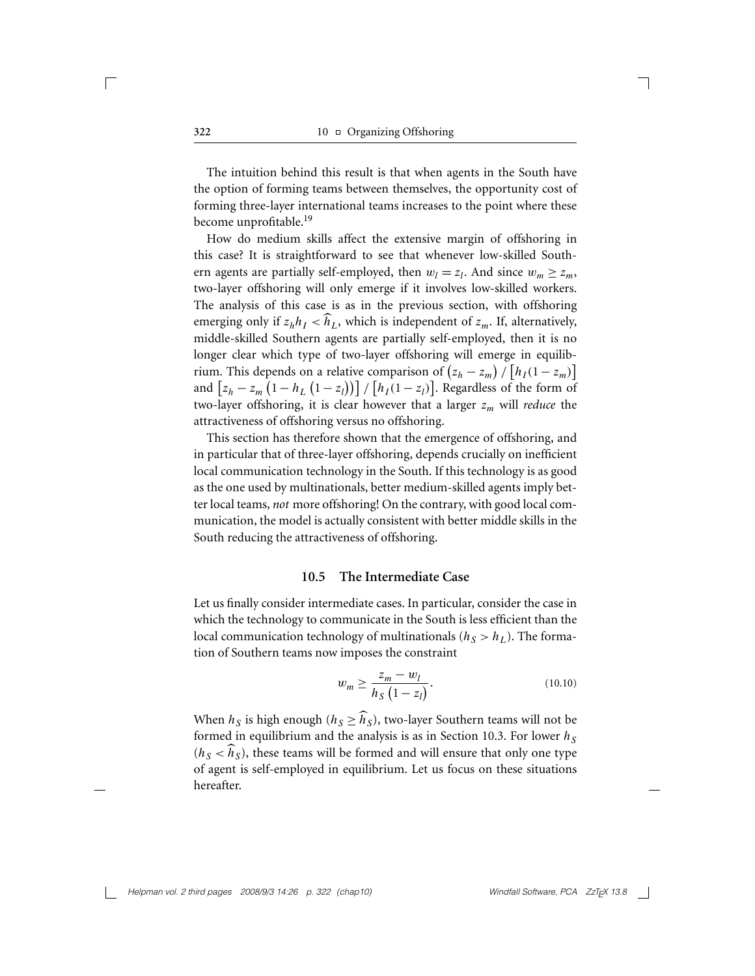The intuition behind this result is that when agents in the South have the option of forming teams between themselves, the opportunity cost of forming three-layer international teams increases to the point where these become unprofitable.<sup>19</sup>

How do medium skills affect the extensive margin of offshoring in this case? It is straightforward to see that whenever low-skilled Southern agents are partially self-employed, then  $w_l = z_l$ . And since  $w_m \ge z_m$ , two-layer offshoring will only emerge if it involves low-skilled workers. The analysis of this case is as in the previous section, with offshoring emerging only if  $z_h h_I < \widehat{h}_L$ , which is independent of  $z_m$ . If, alternatively, middle-skilled Southern agents are partially self-employed, then it is no longer clear which type of two-layer offshoring will emerge in equilibrium. This depends on a relative comparison of  $(z_h - z_m) / [h_I(1 - z_m)]$ and  $\left[ z_h - z_m \left( 1 - h_L \left( 1 - z_l \right) \right) \right] / \left[ h_I (1 - z_l) \right]$ . Regardless of the form of two-layer offshoring, it is clear however that a larger *zm* will *reduce* the attractiveness of offshoring versus no offshoring.

This section has therefore shown that the emergence of offshoring, and in particular that of three-layer offshoring, depends crucially on inefficient local communication technology in the South. If this technology is as good as the one used by multinationals, better medium-skilled agents imply better local teams, *not* more offshoring! On the contrary, with good local communication, the model is actually consistent with better middle skills in the South reducing the attractiveness of offshoring.

#### **10.5 The Intermediate Case**

Let us finally consider intermediate cases. In particular, consider the case in which the technology to communicate in the South is less efficient than the local communication technology of multinationals ( $h<sub>S</sub> > h<sub>L</sub>$ ). The formation of Southern teams now imposes the constraint

$$
w_m \ge \frac{z_m - w_l}{h_S (1 - z_l)}.
$$
\n(10.10)

When  $h_S$  is high enough ( $h_S \geq \widehat{h}_S$ ), two-layer Southern teams will not be formed in equilibrium and the analysis is as in Section 10.3. For lower  $h<sub>S</sub>$  $(h<sub>S</sub> < \widehat{h}<sub>S</sub>)$ , these teams will be formed and will ensure that only one type of agent is self-employed in equilibrium. Let us focus on these situations hereafter.

*Helpman vol. 2 third pages 2008/9/3 14:26 p. 322 (chap10)* Windfall Software, PCA ZzT<sub>E</sub>X 13.8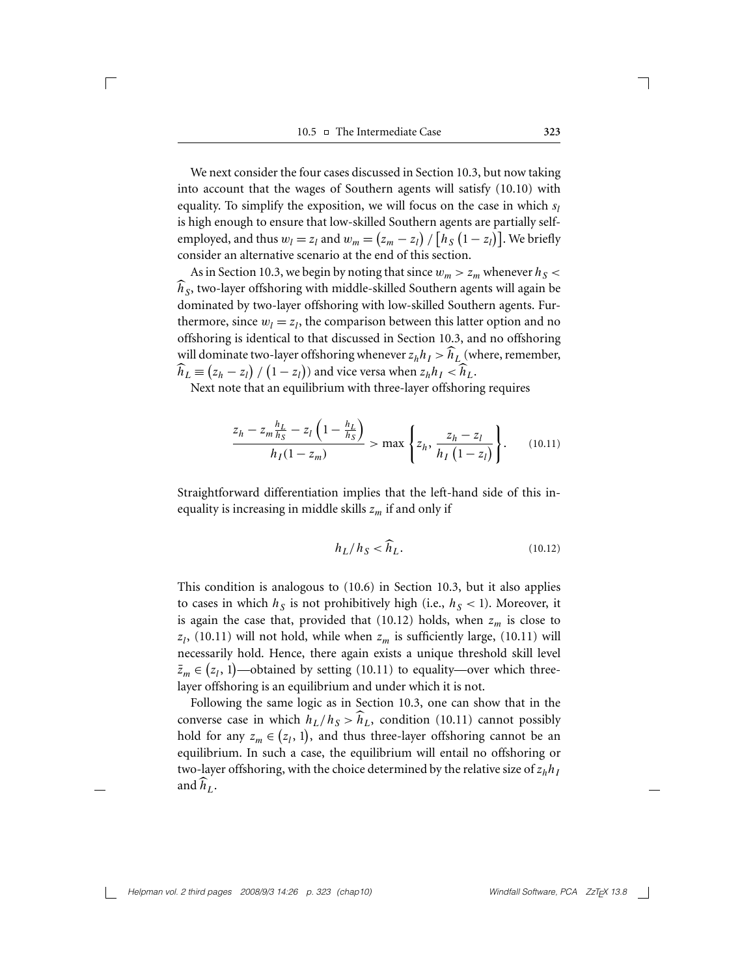We next consider the four cases discussed in Section 10.3, but now taking into account that the wages of Southern agents will satisfy (10.10) with equality. To simplify the exposition, we will focus on the case in which  $s_l$ is high enough to ensure that low-skilled Southern agents are partially selfemployed, and thus  $w_l = z_l$  and  $w_m = (z_m - z_l) / [h_S (1 - z_l)]$ . We briefly consider an alternative scenario at the end of this section.

As in Section 10.3, we begin by noting that since  $w_m > z_m$  whenever  $h_S <$  $\widehat{h}_S$ , two-layer offshoring with middle-skilled Southern agents will again be dominated by two-layer offshoring with low-skilled Southern agents. Furthermore, since  $w_l = z_l$ , the comparison between this latter option and no offshoring is identical to that discussed in Section 10.3, and no offshoring will dominate two-layer offshoring whenever  $z_h h_I > h_L$  (where, remember,  $\hat{h}_L \equiv (z_h - z_l) / (1 - z_l)$  and vice versa when  $z_h h_I < \hat{h}_L$ .

Next note that an equilibrium with three-layer offshoring requires

$$
\frac{z_h - z_m \frac{h_L}{h_S} - z_l \left(1 - \frac{h_L}{h_S}\right)}{h_I (1 - z_m)} > \max \left\{ z_h, \frac{z_h - z_l}{h_I (1 - z_l)} \right\}.
$$
 (10.11)

Straightforward differentiation implies that the left-hand side of this inequality is increasing in middle skills *zm* if and only if

$$
h_L/h_S < \widehat{h}_L. \tag{10.12}
$$

This condition is analogous to (10.6) in Section 10.3, but it also applies to cases in which  $h<sub>S</sub>$  is not prohibitively high (i.e.,  $h<sub>S</sub> < 1$ ). Moreover, it is again the case that, provided that  $(10.12)$  holds, when  $z_m$  is close to  $z_l$ , (10.11) will not hold, while when  $z_m$  is sufficiently large, (10.11) will necessarily hold. Hence, there again exists a unique threshold skill level  $\bar{z}_m \in (z_1, 1)$ —obtained by setting (10.11) to equality—over which threelayer offshoring is an equilibrium and under which it is not.

Following the same logic as in Section 10.3, one can show that in the converse case in which  $h_L/h_S > \hat{h}_L$ , condition (10.11) cannot possibly hold for any  $z_m \in (z_l, 1)$ , and thus three-layer offshoring cannot be an equilibrium. In such a case, the equilibrium will entail no offshoring or two-layer offshoring, with the choice determined by the relative size of  $z_h h_I$ and  $\hat{h}_L$ .

*Helpman vol. 2 third pages 2008/9/3 14:26 p. 323 (chap10)* Windfall Software, PCA ZzT<sub>E</sub>X 13.8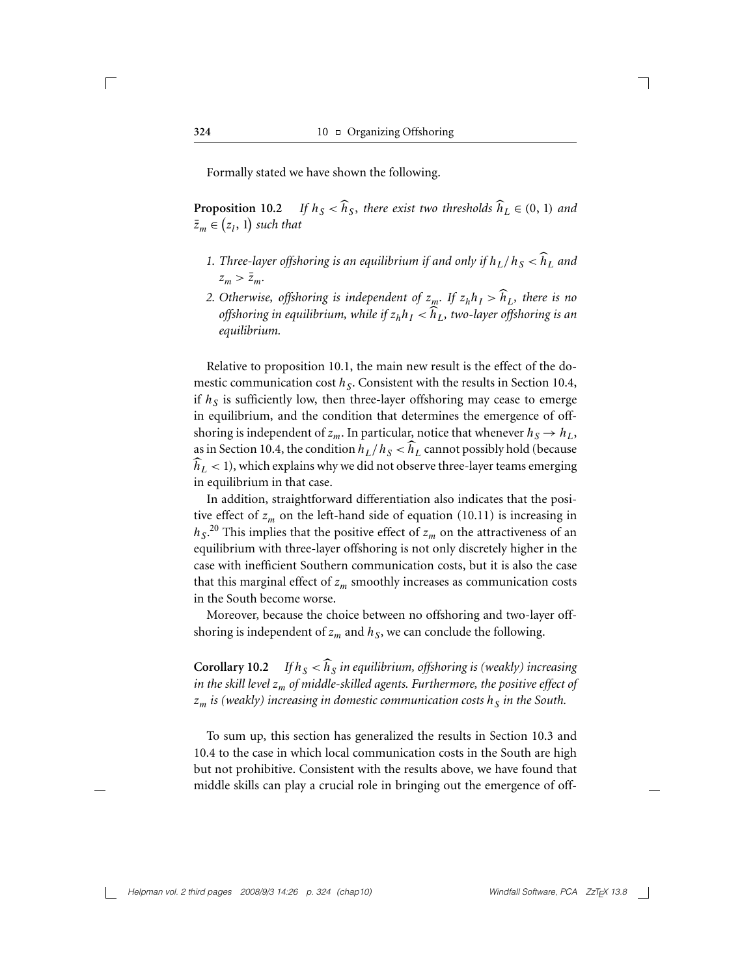Formally stated we have shown the following.

**Proposition 10.2** *If*  $h_S < \widehat{h}_S$ , there exist two thresholds  $\widehat{h}_L \in (0, 1)$  and  $\bar{z}_m \in (z_l, 1)$  such that

- *1. Three-layer offshoring is an equilibrium if and only if*  $h_L/h_S < \widehat{h}_L$  and  $z_m > \bar{z}_m$ .
- *2. Otherwise, offshoring is independent of*  $z_m$ *. If*  $z_h h_l > \hat{h}_l$ *, there is no offshoring in equilibrium, while if*  $z_h h_I < \widehat{h}_L$ *, two-layer offshoring is an equilibrium.*

Relative to proposition 10.1, the main new result is the effect of the domestic communication cost  $h<sub>S</sub>$ . Consistent with the results in Section 10.4, if  $h<sub>S</sub>$  is sufficiently low, then three-layer offshoring may cease to emerge in equilibrium, and the condition that determines the emergence of offshoring is independent of  $z_m$ . In particular, notice that whenever  $h_S \to h_L$ , as in Section 10.4, the condition  $h_L/h_S < h_L$  cannot possibly hold (because  $\widehat{h}_L < 1$ ), which explains why we did not observe three-layer teams emerging in equilibrium in that case.

In addition, straightforward differentiation also indicates that the positive effect of  $z_m$  on the left-hand side of equation (10.11) is increasing in  $h_S$ .<sup>20</sup> This implies that the positive effect of *z<sub>m</sub>* on the attractiveness of an equilibrium with three-layer offshoring is not only discretely higher in the case with inefficient Southern communication costs, but it is also the case that this marginal effect of  $z_m$  smoothly increases as communication costs in the South become worse.

Moreover, because the choice between no offshoring and two-layer offshoring is independent of  $z_m$  and  $h_S$ , we can conclude the following.

**Corollary 10.2** *If*  $h_S < h_S$  *in equilibrium, offshoring is (weakly) increasing in the skill level zm of middle-skilled agents. Furthermore, the positive effect of*  $z_m$  *is (weakly) increasing in domestic communication costs*  $h_s$  *in the South.* 

To sum up, this section has generalized the results in Section 10.3 and 10.4 to the case in which local communication costs in the South are high but not prohibitive. Consistent with the results above, we have found that middle skills can play a crucial role in bringing out the emergence of off-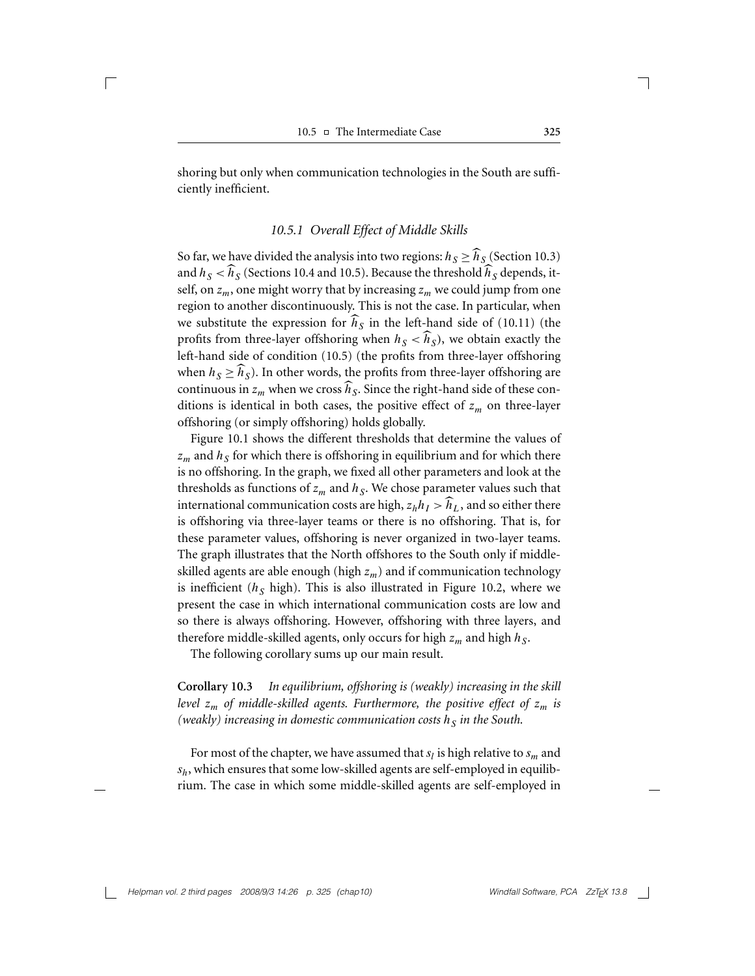shoring but only when communication technologies in the South are sufficiently inefficient.

#### *10.5.1 Overall Effect of Middle Skills*

So far, we have divided the analysis into two regions:  $h_S \ge \hat{h}_S$  (Section 10.3) and  $h_S < h_S$  (Sections 10.4 and 10.5). Because the threshold  $\hat{h}_S$  depends, itself, on  $z_m$ , one might worry that by increasing  $z_m$  we could jump from one region to another discontinuously. This is not the case. In particular, when we substitute the expression for  $h<sub>S</sub>$  in the left-hand side of (10.11) (the profits from three-layer offshoring when  $h<sub>S</sub> < h<sub>S</sub>$ ), we obtain exactly the left-hand side of condition (10.5) (the profits from three-layer offshoring when  $h_S \geq \widehat{h}_S$ ). In other words, the profits from three-layer offshoring are continuous in  $z_m$  when we cross  $\widehat{h}_S$ . Since the right-hand side of these conditions is identical in both cases, the positive effect of  $z_m$  on three-layer offshoring (or simply offshoring) holds globally.

Figure 10.1 shows the different thresholds that determine the values of  $z_m$  and  $h_S$  for which there is offshoring in equilibrium and for which there is no offshoring. In the graph, we fixed all other parameters and look at the thresholds as functions of  $z_m$  and  $h_S$ . We chose parameter values such that international communication costs are high,  $z_h h_l > \hat{h}_l$ , and so either there is offshoring via three-layer teams or there is no offshoring. That is, for these parameter values, offshoring is never organized in two-layer teams. The graph illustrates that the North offshores to the South only if middleskilled agents are able enough (high  $z_m$ ) and if communication technology is inefficient  $(h<sub>S</sub>$  high). This is also illustrated in Figure 10.2, where we present the case in which international communication costs are low and so there is always offshoring. However, offshoring with three layers, and therefore middle-skilled agents, only occurs for high  $z_m$  and high  $h_s$ .

The following corollary sums up our main result.

**Corollary 10.3** *In equilibrium, offshoring is (weakly) increasing in the skill level*  $z_m$  *of middle-skilled agents. Furthermore, the positive effect of*  $z_m$  *is (weakly)* increasing in domestic communication costs  $h<sub>S</sub>$  in the South.

For most of the chapter, we have assumed that  $s_l$  is high relative to  $s_m$  and *sh*, which ensures that some low-skilled agents are self-employed in equilibrium. The case in which some middle-skilled agents are self-employed in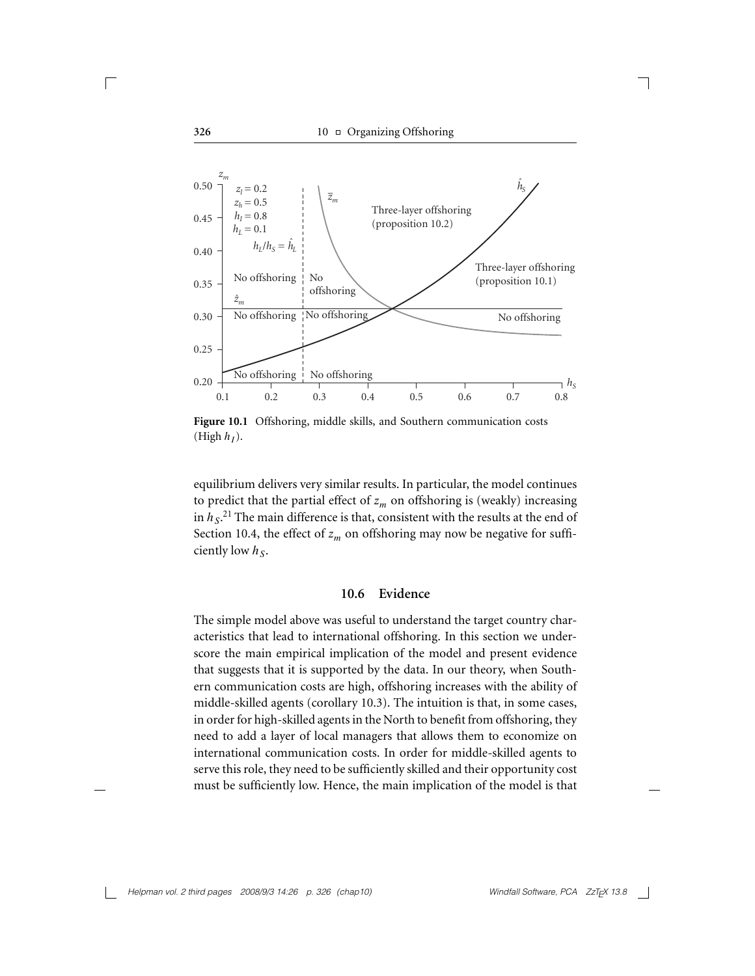

**Figure 10.1** Offshoring, middle skills, and Southern communication costs  $(Highh<sub>I</sub>)$ .

equilibrium delivers very similar results. In particular, the model continues to predict that the partial effect of  $z_m$  on offshoring is (weakly) increasing in  $h_S$ .<sup>21</sup> The main difference is that, consistent with the results at the end of Section 10.4, the effect of  $z_m$  on offshoring may now be negative for sufficiently low  $h<sub>S</sub>$ .

### **10.6 Evidence**

The simple model above was useful to understand the target country characteristics that lead to international offshoring. In this section we underscore the main empirical implication of the model and present evidence that suggests that it is supported by the data. In our theory, when Southern communication costs are high, offshoring increases with the ability of middle-skilled agents (corollary 10.3). The intuition is that, in some cases, in order for high-skilled agents in the North to benefit from offshoring, they need to add a layer of local managers that allows them to economize on international communication costs. In order for middle-skilled agents to serve this role, they need to be sufficiently skilled and their opportunity cost must be sufficiently low. Hence, the main implication of the model is that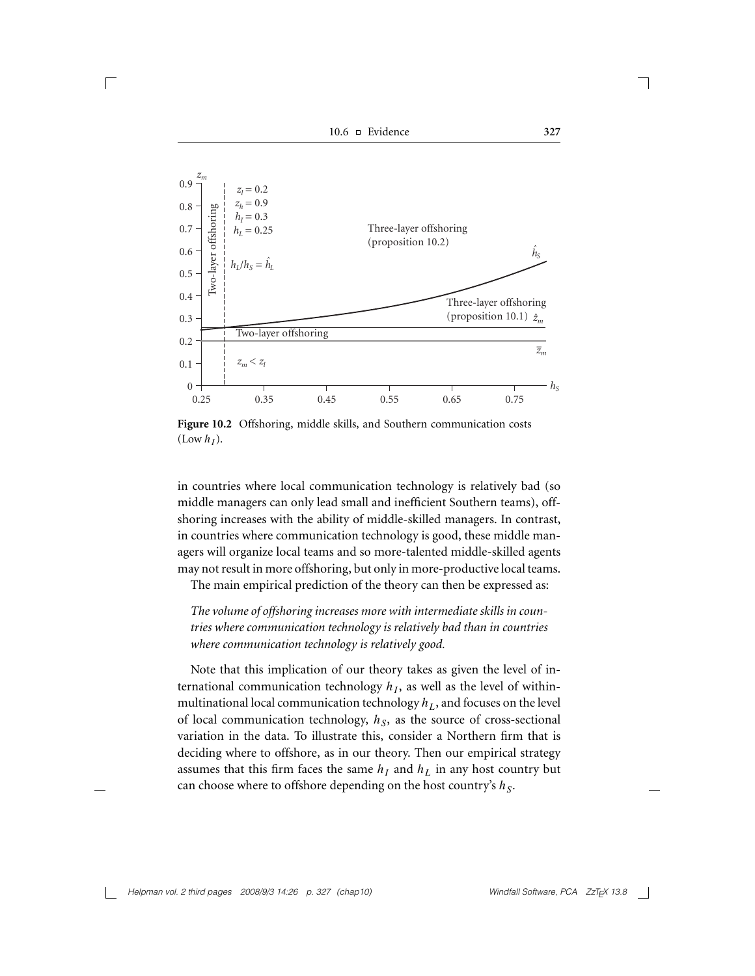10.6 Evidence **327**

 $\sqrt{2}$ 



**Figure 10.2** Offshoring, middle skills, and Southern communication costs  $(Low h<sub>I</sub>)$ .

in countries where local communication technology is relatively bad (so middle managers can only lead small and inefficient Southern teams), offshoring increases with the ability of middle-skilled managers. In contrast, in countries where communication technology is good, these middle managers will organize local teams and so more-talented middle-skilled agents may not result in more offshoring, but only in more-productive local teams.

The main empirical prediction of the theory can then be expressed as:

*The volume of offshoring increases more with intermediate skills in countries where communication technology is relatively bad than in countries where communication technology is relatively good.*

Note that this implication of our theory takes as given the level of international communication technology  $h<sub>I</sub>$ , as well as the level of withinmultinational local communication technology  $h_L$ , and focuses on the level of local communication technology,  $h<sub>S</sub>$ , as the source of cross-sectional variation in the data. To illustrate this, consider a Northern firm that is deciding where to offshore, as in our theory. Then our empirical strategy assumes that this firm faces the same  $h_I$  and  $h_L$  in any host country but can choose where to offshore depending on the host country's  $h<sub>S</sub>$ .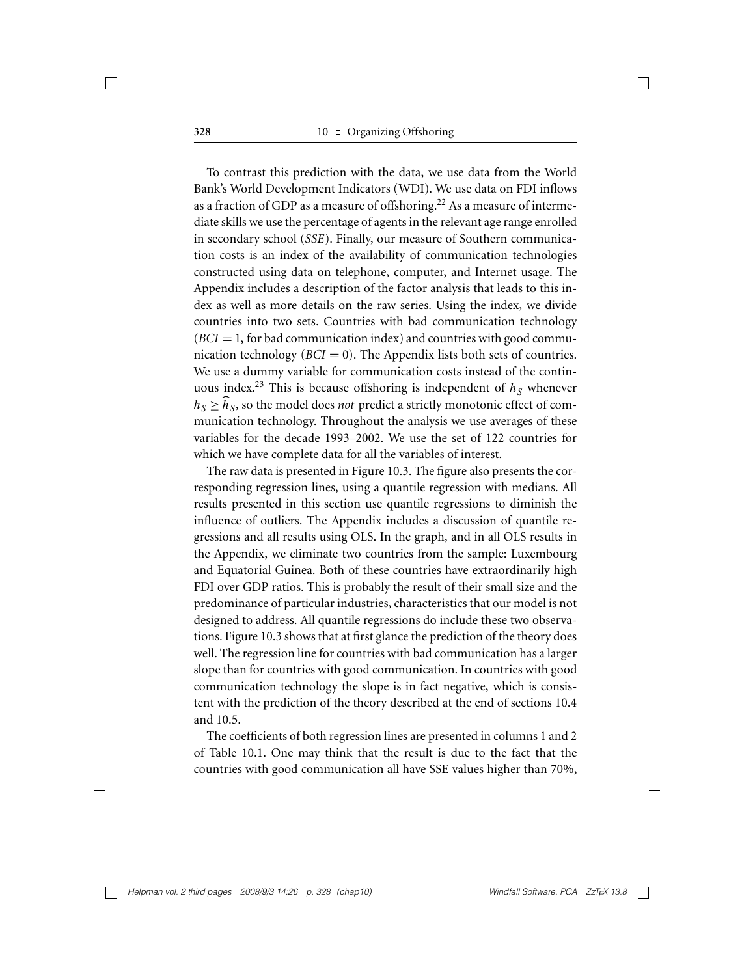**328** 10 □ Organizing Offshoring

To contrast this prediction with the data, we use data from the World Bank's World Development Indicators (WDI). We use data on FDI inflows as a fraction of GDP as a measure of offshoring.<sup>22</sup> As a measure of intermediate skills we use the percentage of agents in the relevant age range enrolled in secondary school (*SSE*). Finally, our measure of Southern communication costs is an index of the availability of communication technologies constructed using data on telephone, computer, and Internet usage. The Appendix includes a description of the factor analysis that leads to this index as well as more details on the raw series. Using the index, we divide countries into two sets. Countries with bad communication technology  $(BCI = 1,$  for bad communication index) and countries with good communication technology  $(BCI = 0)$ . The Appendix lists both sets of countries. We use a dummy variable for communication costs instead of the continuous index.<sup>23</sup> This is because offshoring is independent of  $h<sub>S</sub>$  whenever  $h_S \geq \widehat{h}_S$ , so the model does *not* predict a strictly monotonic effect of communication technology. Throughout the analysis we use averages of these variables for the decade 1993–2002. We use the set of 122 countries for which we have complete data for all the variables of interest.

The raw data is presented in Figure 10.3. The figure also presents the corresponding regression lines, using a quantile regression with medians. All results presented in this section use quantile regressions to diminish the influence of outliers. The Appendix includes a discussion of quantile regressions and all results using OLS. In the graph, and in all OLS results in the Appendix, we eliminate two countries from the sample: Luxembourg and Equatorial Guinea. Both of these countries have extraordinarily high FDI over GDP ratios. This is probably the result of their small size and the predominance of particular industries, characteristics that our model is not designed to address. All quantile regressions do include these two observations. Figure 10.3 shows that at first glance the prediction of the theory does well. The regression line for countries with bad communication has a larger slope than for countries with good communication. In countries with good communication technology the slope is in fact negative, which is consistent with the prediction of the theory described at the end of sections 10.4 and 10.5.

The coefficients of both regression lines are presented in columns 1 and 2 of Table 10.1. One may think that the result is due to the fact that the countries with good communication all have SSE values higher than 70%,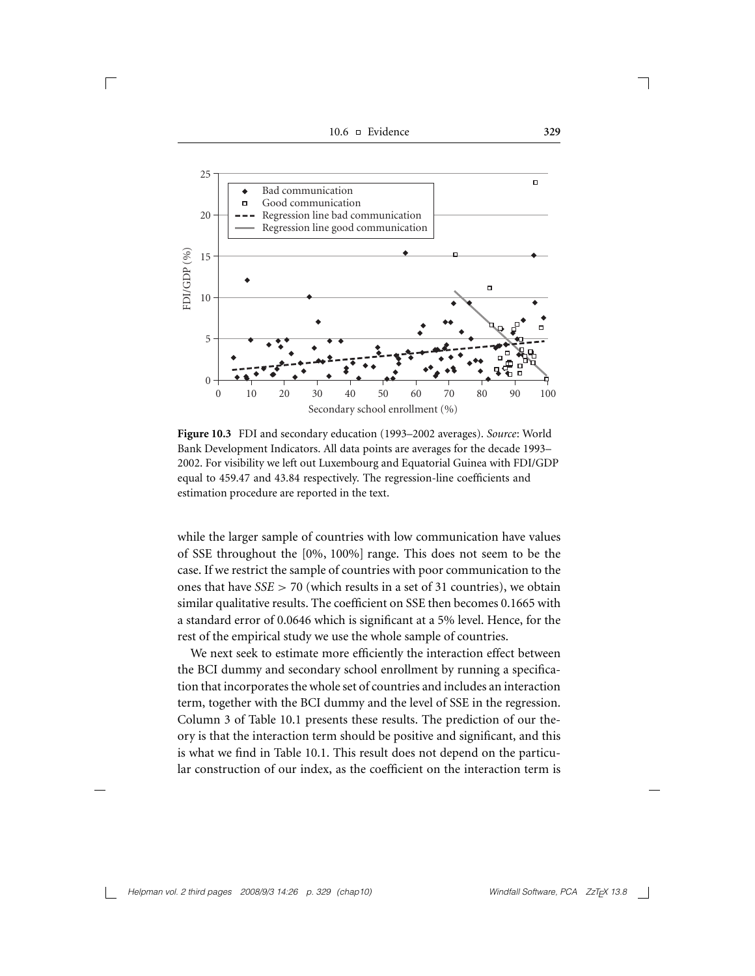10.6 Evidence **329**

 $\sqrt{2}$ 



**Figure 10.3** FDI and secondary education (1993–2002 averages). *Source*: World Bank Development Indicators. All data points are averages for the decade 1993– 2002. For visibility we left out Luxembourg and Equatorial Guinea with FDI/GDP equal to 459.47 and 43.84 respectively. The regression-line coefficients and estimation procedure are reported in the text.

while the larger sample of countries with low communication have values of SSE throughout the [0%, 100%] range. This does not seem to be the case. If we restrict the sample of countries with poor communication to the ones that have *SSE >* 70 (which results in a set of 31 countries), we obtain similar qualitative results. The coefficient on SSE then becomes 0.1665 with a standard error of 0.0646 which is significant at a 5% level. Hence, for the rest of the empirical study we use the whole sample of countries.

We next seek to estimate more efficiently the interaction effect between the BCI dummy and secondary school enrollment by running a specification that incorporates the whole set of countries and includes an interaction term, together with the BCI dummy and the level of SSE in the regression. Column 3 of Table 10.1 presents these results. The prediction of our theory is that the interaction term should be positive and significant, and this is what we find in Table 10.1. This result does not depend on the particular construction of our index, as the coefficient on the interaction term is

*Helpman vol. 2 third pages 2008/9/3 14:26 p. 329 (chap10) Windfall Software, PCA ZzTEX 13.8*

 $\mathbb{R}^2$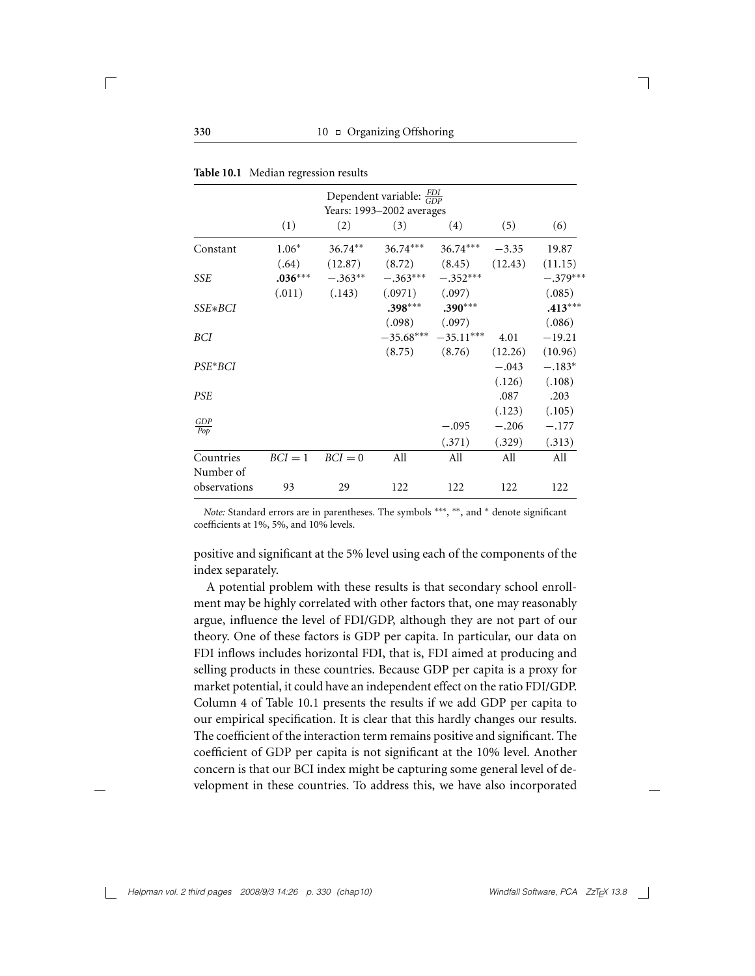|                   |           |           | Dependent variable: $\frac{FDI}{GDP}$ |                         |         |            |
|-------------------|-----------|-----------|---------------------------------------|-------------------------|---------|------------|
|                   |           |           | Years: 1993-2002 averages             |                         |         |            |
|                   | (1)       | (2)       | (3)                                   | (4)                     | (5)     | (6)        |
| Constant          | $1.06*$   | $36.74**$ | $36.74***$                            | $36.74***$ $-3.35$      |         | 19.87      |
|                   | (.64)     | (12.87)   |                                       | $(8.72)$ $(8.45)$       | (12.43) | (11.15)    |
| <b>SSE</b>        | $.036***$ | $-.363**$ | $-.363***$                            | $-.352***$              |         | $-.379***$ |
|                   | (.011)    | (.143)    | $(.0971)$ $(.097)$                    |                         |         | (.085)     |
| SSE*BCI           |           |           | $.398***$                             | $.390***$               |         | $.413***$  |
|                   |           |           | (.098)                                | (.097)                  |         | (.086)     |
| BCI               |           |           |                                       | $-35.68***$ $-35.11***$ | 4.01    | $-19.21$   |
|                   |           |           | (8.75)                                | (8.76)                  | (12.26) | (10.96)    |
| $PSE*BCI$         |           |           |                                       |                         | $-.043$ | $-.183*$   |
|                   |           |           |                                       |                         | (.126)  | (.108)     |
| <b>PSE</b>        |           |           |                                       |                         | .087    | .203       |
|                   |           |           |                                       |                         | (.123)  | (.105)     |
| $\frac{GDP}{Pop}$ |           |           |                                       | $-.095$                 | $-.206$ | $-.177$    |
|                   |           |           |                                       | (.371)                  | (.329)  | (.313)     |
| Countries         | $BCI = 1$ | $BCI = 0$ | All                                   | All                     | All     | All        |
| Number of         |           |           |                                       |                         |         |            |
| observations      | 93        | 29        | 122                                   | 122                     | 122     | 122        |

|  |  | Table 10.1 Median regression results |  |
|--|--|--------------------------------------|--|
|--|--|--------------------------------------|--|

*Note:* Standard errors are in parentheses. The symbols \*\*\*, \*\*, and \* denote significant coefficients at 1%, 5%, and 10% levels.

positive and significant at the 5% level using each of the components of the index separately.

A potential problem with these results is that secondary school enrollment may be highly correlated with other factors that, one may reasonably argue, influence the level of FDI/GDP, although they are not part of our theory. One of these factors is GDP per capita. In particular, our data on FDI inflows includes horizontal FDI, that is, FDI aimed at producing and selling products in these countries. Because GDP per capita is a proxy for market potential, it could have an independent effect on the ratio FDI/GDP. Column 4 of Table 10.1 presents the results if we add GDP per capita to our empirical specification. It is clear that this hardly changes our results. The coefficient of the interaction term remains positive and significant. The coefficient of GDP per capita is not significant at the 10% level. Another concern is that our BCI index might be capturing some general level of development in these countries. To address this, we have also incorporated

 $\Box$ 

 $\overline{\phantom{a}}$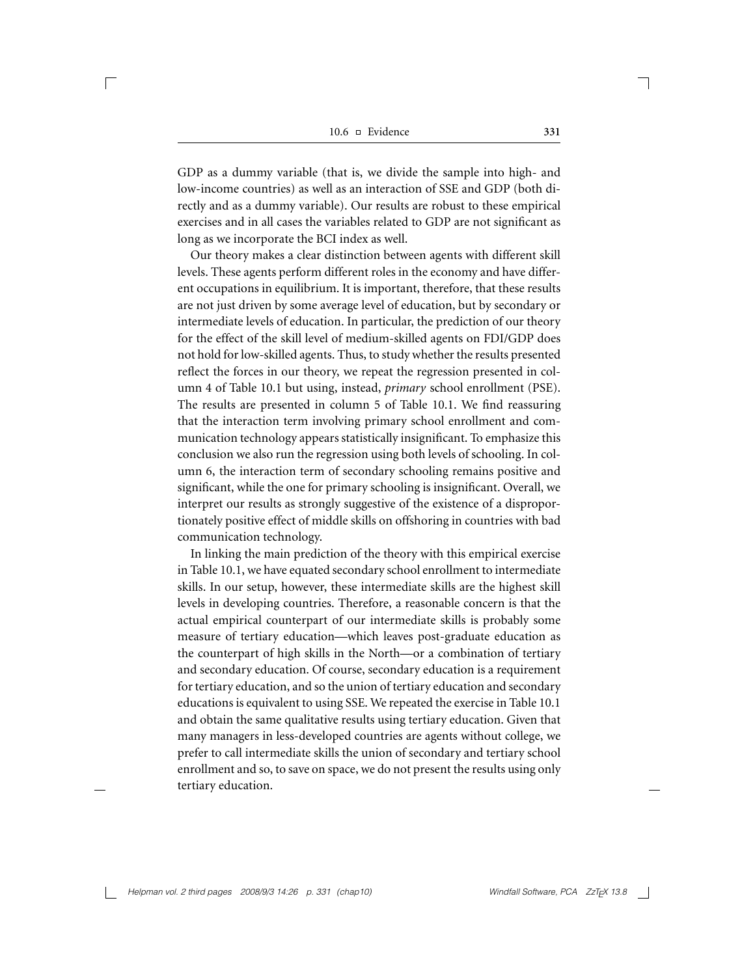GDP as a dummy variable (that is, we divide the sample into high- and low-income countries) as well as an interaction of SSE and GDP (both directly and as a dummy variable). Our results are robust to these empirical exercises and in all cases the variables related to GDP are not significant as long as we incorporate the BCI index as well.

Our theory makes a clear distinction between agents with different skill levels. These agents perform different roles in the economy and have different occupations in equilibrium. It is important, therefore, that these results are not just driven by some average level of education, but by secondary or intermediate levels of education. In particular, the prediction of our theory for the effect of the skill level of medium-skilled agents on FDI/GDP does not hold for low-skilled agents. Thus, to study whether the results presented reflect the forces in our theory, we repeat the regression presented in column 4 of Table 10.1 but using, instead, *primary* school enrollment (PSE). The results are presented in column 5 of Table 10.1. We find reassuring that the interaction term involving primary school enrollment and communication technology appears statistically insignificant. To emphasize this conclusion we also run the regression using both levels of schooling. In column 6, the interaction term of secondary schooling remains positive and significant, while the one for primary schooling is insignificant. Overall, we interpret our results as strongly suggestive of the existence of a disproportionately positive effect of middle skills on offshoring in countries with bad communication technology.

In linking the main prediction of the theory with this empirical exercise in Table 10.1, we have equated secondary school enrollment to intermediate skills. In our setup, however, these intermediate skills are the highest skill levels in developing countries. Therefore, a reasonable concern is that the actual empirical counterpart of our intermediate skills is probably some measure of tertiary education—which leaves post-graduate education as the counterpart of high skills in the North—or a combination of tertiary and secondary education. Of course, secondary education is a requirement for tertiary education, and so the union of tertiary education and secondary educations is equivalent to using SSE. We repeated the exercise in Table 10.1 and obtain the same qualitative results using tertiary education. Given that many managers in less-developed countries are agents without college, we prefer to call intermediate skills the union of secondary and tertiary school enrollment and so, to save on space, we do not present the results using only tertiary education.

*Helpman vol. 2 third pages 2008/9/3 14:26 p. 331 (chap10)* Windfall Software, PCA ZzT<sub>F</sub>X 13.8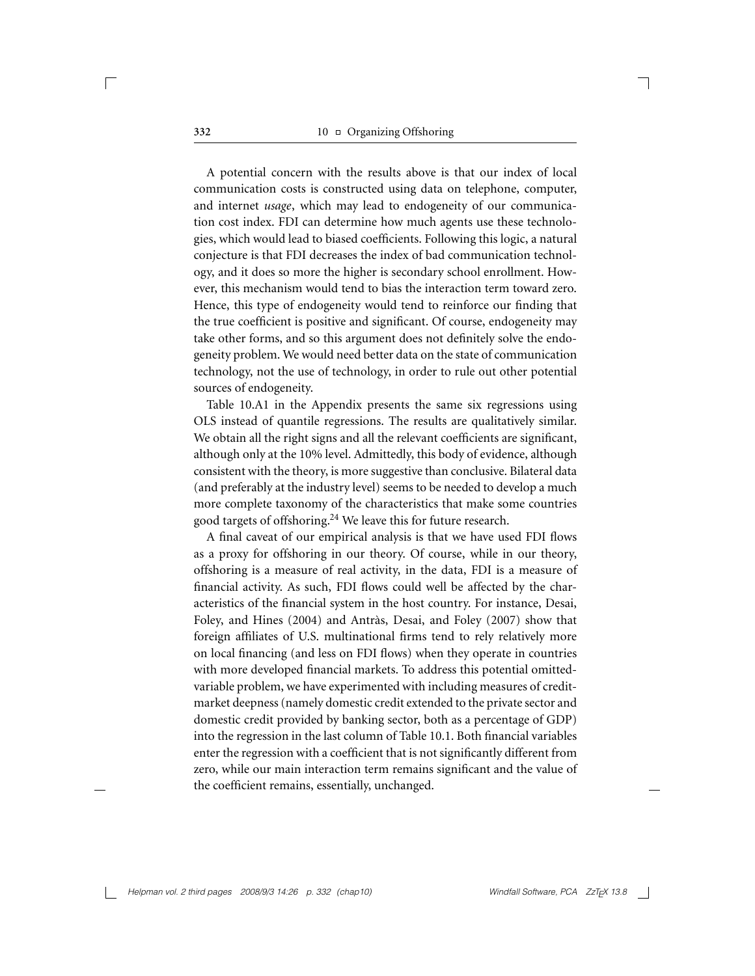A potential concern with the results above is that our index of local communication costs is constructed using data on telephone, computer, and internet *usage*, which may lead to endogeneity of our communication cost index. FDI can determine how much agents use these technologies, which would lead to biased coefficients. Following this logic, a natural conjecture is that FDI decreases the index of bad communication technology, and it does so more the higher is secondary school enrollment. However, this mechanism would tend to bias the interaction term toward zero. Hence, this type of endogeneity would tend to reinforce our finding that the true coefficient is positive and significant. Of course, endogeneity may take other forms, and so this argument does not definitely solve the endogeneity problem. We would need better data on the state of communication technology, not the use of technology, in order to rule out other potential sources of endogeneity.

Table 10.A1 in the Appendix presents the same six regressions using OLS instead of quantile regressions. The results are qualitatively similar. We obtain all the right signs and all the relevant coefficients are significant, although only at the 10% level. Admittedly, this body of evidence, although consistent with the theory, is more suggestive than conclusive. Bilateral data (and preferably at the industry level) seems to be needed to develop a much more complete taxonomy of the characteristics that make some countries good targets of offshoring.<sup>24</sup> We leave this for future research.

A final caveat of our empirical analysis is that we have used FDI flows as a proxy for offshoring in our theory. Of course, while in our theory, offshoring is a measure of real activity, in the data, FDI is a measure of financial activity. As such, FDI flows could well be affected by the characteristics of the financial system in the host country. For instance, Desai, Foley, and Hines (2004) and Antràs, Desai, and Foley (2007) show that foreign affiliates of U.S. multinational firms tend to rely relatively more on local financing (and less on FDI flows) when they operate in countries with more developed financial markets. To address this potential omittedvariable problem, we have experimented with including measures of creditmarket deepness (namely domestic credit extended to the private sector and domestic credit provided by banking sector, both as a percentage of GDP) into the regression in the last column of Table 10.1. Both financial variables enter the regression with a coefficient that is not significantly different from zero, while our main interaction term remains significant and the value of the coefficient remains, essentially, unchanged.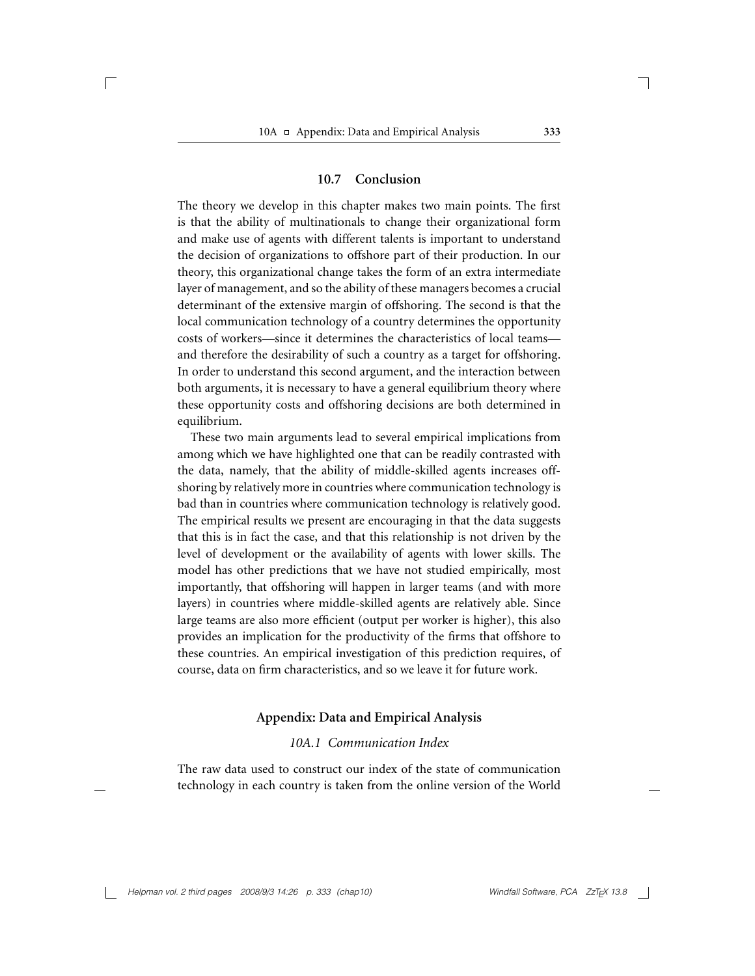#### **10.7 Conclusion**

The theory we develop in this chapter makes two main points. The first is that the ability of multinationals to change their organizational form and make use of agents with different talents is important to understand the decision of organizations to offshore part of their production. In our theory, this organizational change takes the form of an extra intermediate layer of management, and so the ability of these managers becomes a crucial determinant of the extensive margin of offshoring. The second is that the local communication technology of a country determines the opportunity costs of workers—since it determines the characteristics of local teams and therefore the desirability of such a country as a target for offshoring. In order to understand this second argument, and the interaction between both arguments, it is necessary to have a general equilibrium theory where these opportunity costs and offshoring decisions are both determined in equilibrium.

These two main arguments lead to several empirical implications from among which we have highlighted one that can be readily contrasted with the data, namely, that the ability of middle-skilled agents increases offshoring by relatively more in countries where communication technology is bad than in countries where communication technology is relatively good. The empirical results we present are encouraging in that the data suggests that this is in fact the case, and that this relationship is not driven by the level of development or the availability of agents with lower skills. The model has other predictions that we have not studied empirically, most importantly, that offshoring will happen in larger teams (and with more layers) in countries where middle-skilled agents are relatively able. Since large teams are also more efficient (output per worker is higher), this also provides an implication for the productivity of the firms that offshore to these countries. An empirical investigation of this prediction requires, of course, data on firm characteristics, and so we leave it for future work.

#### **Appendix: Data and Empirical Analysis**

#### *10A.1 Communication Index*

The raw data used to construct our index of the state of communication technology in each country is taken from the online version of the World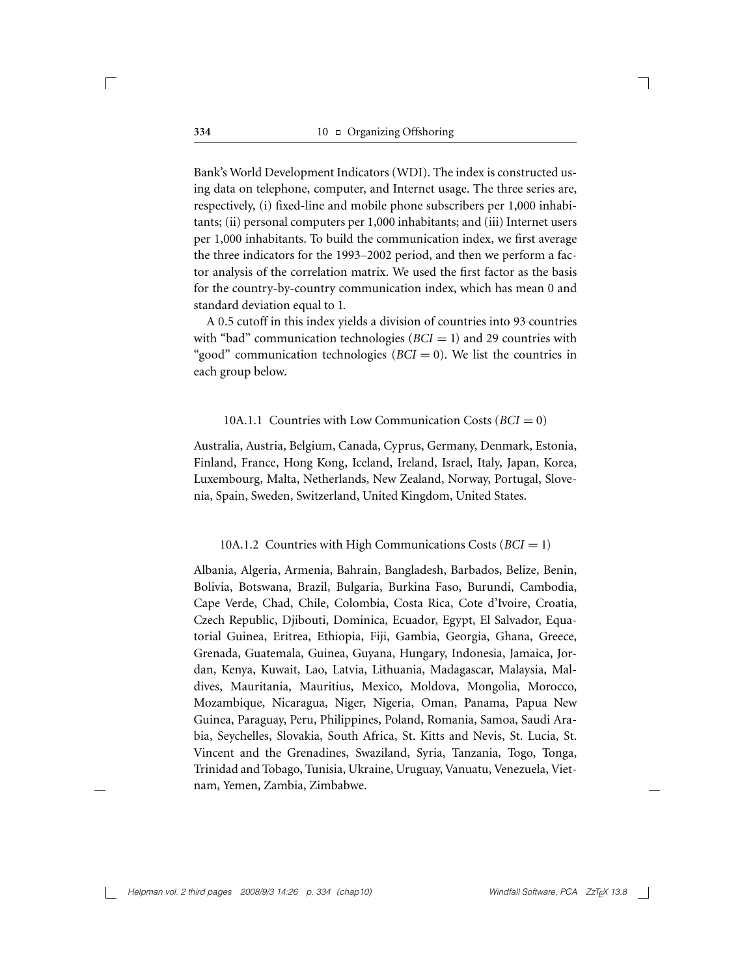Bank's World Development Indicators (WDI). The index is constructed using data on telephone, computer, and Internet usage. The three series are, respectively, (i) fixed-line and mobile phone subscribers per 1,000 inhabitants; (ii) personal computers per 1,000 inhabitants; and (iii) Internet users per 1,000 inhabitants. To build the communication index, we first average the three indicators for the 1993–2002 period, and then we perform a factor analysis of the correlation matrix. We used the first factor as the basis for the country-by-country communication index, which has mean 0 and standard deviation equal to 1.

A 0.5 cutoff in this index yields a division of countries into 93 countries with "bad" communication technologies  $(BCI = 1)$  and 29 countries with "good" communication technologies  $(BCI = 0)$ . We list the countries in each group below.

#### 10A.1.1 Countries with Low Communication Costs (*BCI* = 0)

Australia, Austria, Belgium, Canada, Cyprus, Germany, Denmark, Estonia, Finland, France, Hong Kong, Iceland, Ireland, Israel, Italy, Japan, Korea, Luxembourg, Malta, Netherlands, New Zealand, Norway, Portugal, Slovenia, Spain, Sweden, Switzerland, United Kingdom, United States.

#### 10A.1.2 Countries with High Communications Costs (*BCI* = 1)

Albania, Algeria, Armenia, Bahrain, Bangladesh, Barbados, Belize, Benin, Bolivia, Botswana, Brazil, Bulgaria, Burkina Faso, Burundi, Cambodia, Cape Verde, Chad, Chile, Colombia, Costa Rica, Cote d'Ivoire, Croatia, Czech Republic, Djibouti, Dominica, Ecuador, Egypt, El Salvador, Equatorial Guinea, Eritrea, Ethiopia, Fiji, Gambia, Georgia, Ghana, Greece, Grenada, Guatemala, Guinea, Guyana, Hungary, Indonesia, Jamaica, Jordan, Kenya, Kuwait, Lao, Latvia, Lithuania, Madagascar, Malaysia, Maldives, Mauritania, Mauritius, Mexico, Moldova, Mongolia, Morocco, Mozambique, Nicaragua, Niger, Nigeria, Oman, Panama, Papua New Guinea, Paraguay, Peru, Philippines, Poland, Romania, Samoa, Saudi Arabia, Seychelles, Slovakia, South Africa, St. Kitts and Nevis, St. Lucia, St. Vincent and the Grenadines, Swaziland, Syria, Tanzania, Togo, Tonga, Trinidad and Tobago, Tunisia, Ukraine, Uruguay, Vanuatu, Venezuela, Vietnam, Yemen, Zambia, Zimbabwe.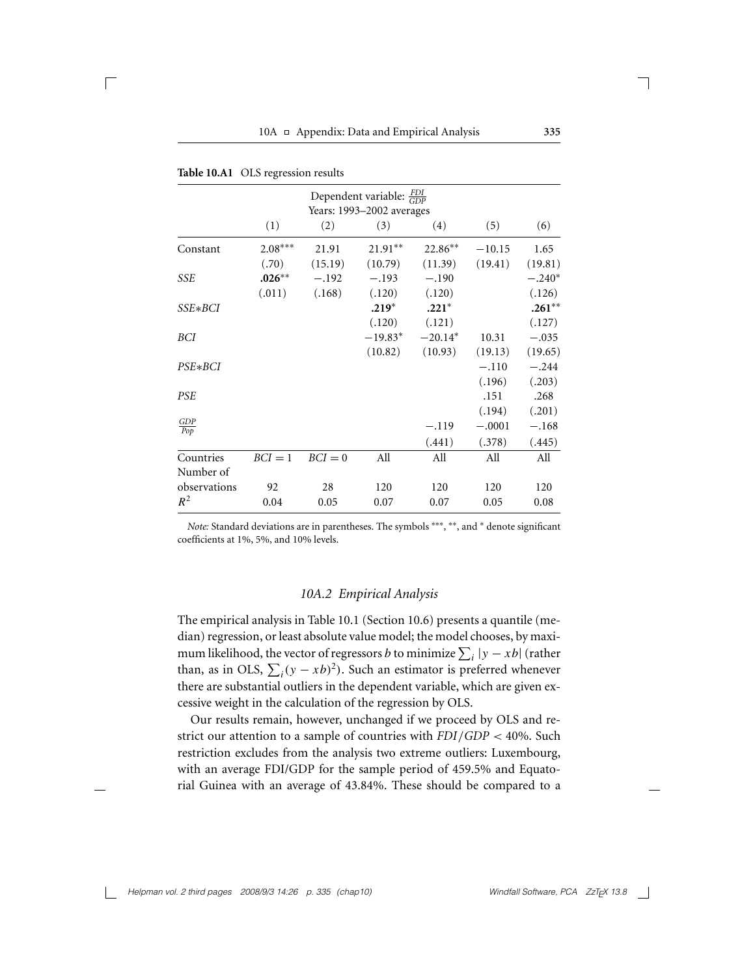|                   |           |           | Dependent variable: $\frac{FDI}{GDP}$<br>Years: 1993-2002 averages |           |          |          |
|-------------------|-----------|-----------|--------------------------------------------------------------------|-----------|----------|----------|
|                   | (1)       | (2)       | (3)                                                                | (4)       | (5)      | (6)      |
| Constant          | $2.08***$ | 21.91     | 21.91**                                                            | 22.86**   | $-10.15$ | 1.65     |
|                   | (.70)     | (15.19)   | (10.79)                                                            | (11.39)   | (19.41)  | (19.81)  |
| SSE               | $.026**$  | $-.192$   | $-.193$                                                            | $-.190$   |          | $-.240*$ |
|                   | (.011)    | (.168)    | (.120)                                                             | (.120)    |          | (.126)   |
| SSE*BCI           |           |           | $.219*$                                                            | $.221*$   |          | $.261**$ |
|                   |           |           | (.120)                                                             | (.121)    |          | (.127)   |
| BCI               |           |           | $-19.83*$                                                          | $-20.14*$ | 10.31    | $-.035$  |
|                   |           |           | (10.82)                                                            | (10.93)   | (19.13)  | (19.65)  |
| $PSE*BCI$         |           |           |                                                                    |           | $-.110$  | $-.244$  |
|                   |           |           |                                                                    |           | (.196)   | (.203)   |
| <b>PSE</b>        |           |           |                                                                    |           | .151     | .268     |
|                   |           |           |                                                                    |           | (.194)   | (.201)   |
| $\frac{GDP}{Pop}$ |           |           |                                                                    | $-.119$   | $-.0001$ | $-.168$  |
|                   |           |           |                                                                    | (.441)    | (.378)   | (.445)   |
| Countries         | $BCI = 1$ | $BCI = 0$ | All                                                                | All       | All      | All      |
| Number of         |           |           |                                                                    |           |          |          |
| observations      | 92        | 28        | 120                                                                | 120       | 120      | 120      |
| $R^2$             | 0.04      | 0.05      | 0.07                                                               | 0.07      | 0.05     | 0.08     |

| Table 10.A1 OLS regression results |  |  |  |
|------------------------------------|--|--|--|
|------------------------------------|--|--|--|

 $\Box$ 

*Note:* Standard deviations are in parentheses. The symbols \*\*\*, \*\*, and \* denote significant coefficients at 1%, 5%, and 10% levels.

## *10A.2 Empirical Analysis*

The empirical analysis in Table 10.1 (Section 10.6) presents a quantile (median) regression, or least absolute value model; the model chooses, by maximum likelihood, the vector of regressors *b* to minimize  $\sum_i |y - xb|$  (rather than, as in OLS,  $\sum_i (y - xb)^2$ ). Such an estimator is preferred whenever there are substantial outliers in the dependent variable, which are given excessive weight in the calculation of the regression by OLS.

Our results remain, however, unchanged if we proceed by OLS and restrict our attention to a sample of countries with *FDI/GDP <* 40%. Such restriction excludes from the analysis two extreme outliers: Luxembourg, with an average FDI/GDP for the sample period of 459.5% and Equatorial Guinea with an average of 43.84%. These should be compared to a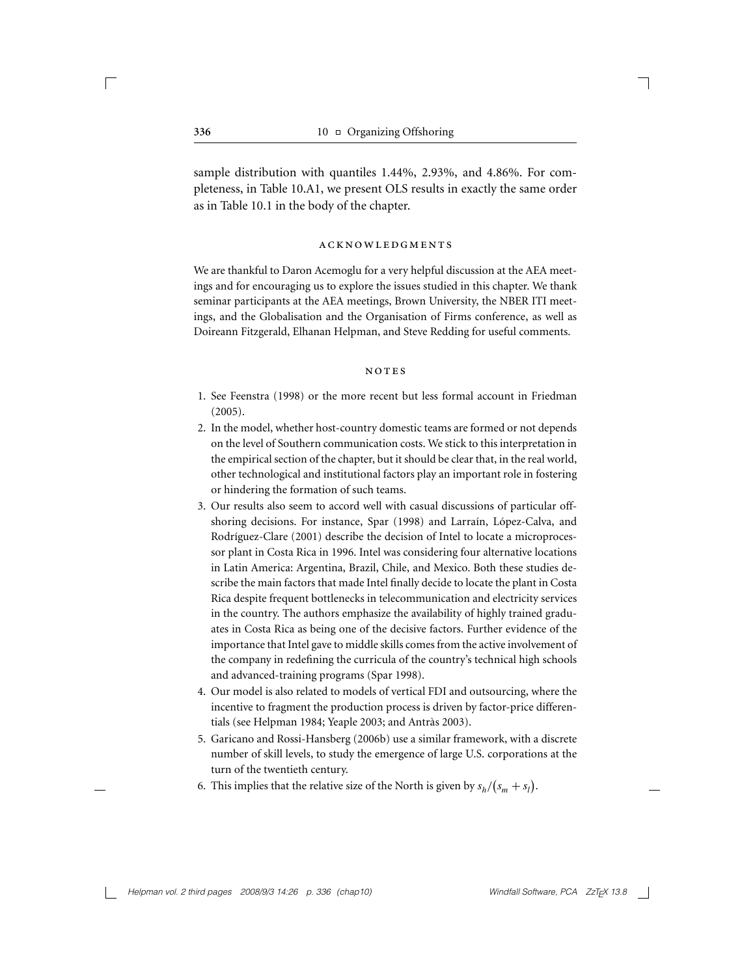sample distribution with quantiles 1.44%, 2.93%, and 4.86%. For completeness, in Table 10.A1, we present OLS results in exactly the same order as in Table 10.1 in the body of the chapter.

#### acknowledgments

We are thankful to Daron Acemoglu for a very helpful discussion at the AEA meetings and for encouraging us to explore the issues studied in this chapter. We thank seminar participants at the AEA meetings, Brown University, the NBER ITI meetings, and the Globalisation and the Organisation of Firms conference, as well as Doireann Fitzgerald, Elhanan Helpman, and Steve Redding for useful comments.

#### notes

- 1. See Feenstra (1998) or the more recent but less formal account in Friedman (2005).
- 2. In the model, whether host-country domestic teams are formed or not depends on the level of Southern communication costs. We stick to this interpretation in the empirical section of the chapter, but it should be clear that, in the real world, other technological and institutional factors play an important role in fostering or hindering the formation of such teams.
- 3. Our results also seem to accord well with casual discussions of particular offshoring decisions. For instance, Spar (1998) and Larraín, López-Calva, and Rodríguez-Clare (2001) describe the decision of Intel to locate a microprocessor plant in Costa Rica in 1996. Intel was considering four alternative locations in Latin America: Argentina, Brazil, Chile, and Mexico. Both these studies describe the main factors that made Intel finally decide to locate the plant in Costa Rica despite frequent bottlenecks in telecommunication and electricity services in the country. The authors emphasize the availability of highly trained graduates in Costa Rica as being one of the decisive factors. Further evidence of the importance that Intel gave to middle skills comes from the active involvement of the company in redefining the curricula of the country's technical high schools and advanced-training programs (Spar 1998).
- 4. Our model is also related to models of vertical FDI and outsourcing, where the incentive to fragment the production process is driven by factor-price differentials (see Helpman 1984; Yeaple 2003; and Antràs 2003).
- 5. Garicano and Rossi-Hansberg (2006b) use a similar framework, with a discrete number of skill levels, to study the emergence of large U.S. corporations at the turn of the twentieth century.
- 6. This implies that the relative size of the North is given by  $s_h/(s_m + s_l)$ .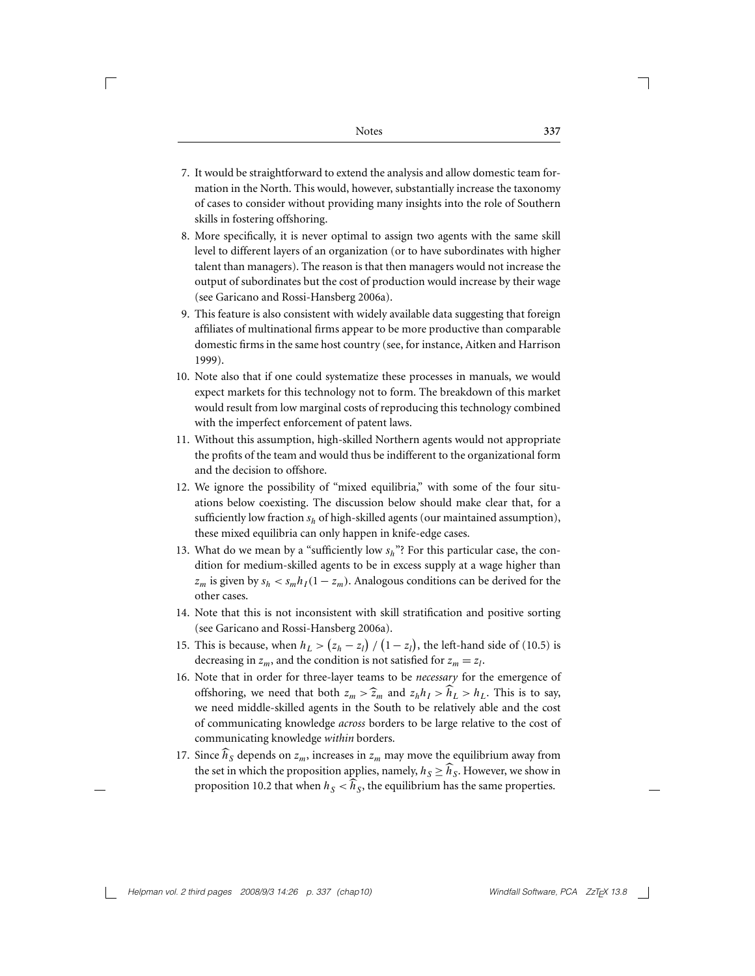Г

- 7. It would be straightforward to extend the analysis and allow domestic team formation in the North. This would, however, substantially increase the taxonomy of cases to consider without providing many insights into the role of Southern skills in fostering offshoring.
- 8. More specifically, it is never optimal to assign two agents with the same skill level to different layers of an organization (or to have subordinates with higher talent than managers). The reason is that then managers would not increase the output of subordinates but the cost of production would increase by their wage (see Garicano and Rossi-Hansberg 2006a).
- 9. This feature is also consistent with widely available data suggesting that foreign affiliates of multinational firms appear to be more productive than comparable domestic firms in the same host country (see, for instance, Aitken and Harrison 1999).
- 10. Note also that if one could systematize these processes in manuals, we would expect markets for this technology not to form. The breakdown of this market would result from low marginal costs of reproducing this technology combined with the imperfect enforcement of patent laws.
- 11. Without this assumption, high-skilled Northern agents would not appropriate the profits of the team and would thus be indifferent to the organizational form and the decision to offshore.
- 12. We ignore the possibility of "mixed equilibria," with some of the four situations below coexisting. The discussion below should make clear that, for a sufficiently low fraction *sh* of high-skilled agents (our maintained assumption), these mixed equilibria can only happen in knife-edge cases.
- 13. What do we mean by a "sufficiently low *sh*"? For this particular case, the condition for medium-skilled agents to be in excess supply at a wage higher than  $z_m$  is given by  $s_h < s_m h_I(1 - z_m)$ . Analogous conditions can be derived for the other cases.
- 14. Note that this is not inconsistent with skill stratification and positive sorting (see Garicano and Rossi-Hansberg 2006a).
- 15. This is because, when  $h_L > (z_h z_l) / (1 z_l)$ , the left-hand side of (10.5) is decreasing in  $z_m$ , and the condition is not satisfied for  $z_m = z_l$ .
- 16. Note that in order for three-layer teams to be *necessary* for the emergence of offshoring, we need that both  $z_m > \hat{z}_m$  and  $z_h h_l > \hat{h}_l > h_l$ . This is to say, we need middle-skilled agents in the South to be relatively able and the cost of communicating knowledge *across* borders to be large relative to the cost of communicating knowledge *within* borders.
- 17. Since  $\widehat{h}_S$  depends on  $z_m$ , increases in  $z_m$  may move the equilibrium away from the set in which the proposition applies, namely,  $h_S \geq \widehat{h}_S$ . However, we show in proposition 10.2 that when  $h<sub>S</sub> < \hat{h}<sub>S</sub>$ , the equilibrium has the same properties.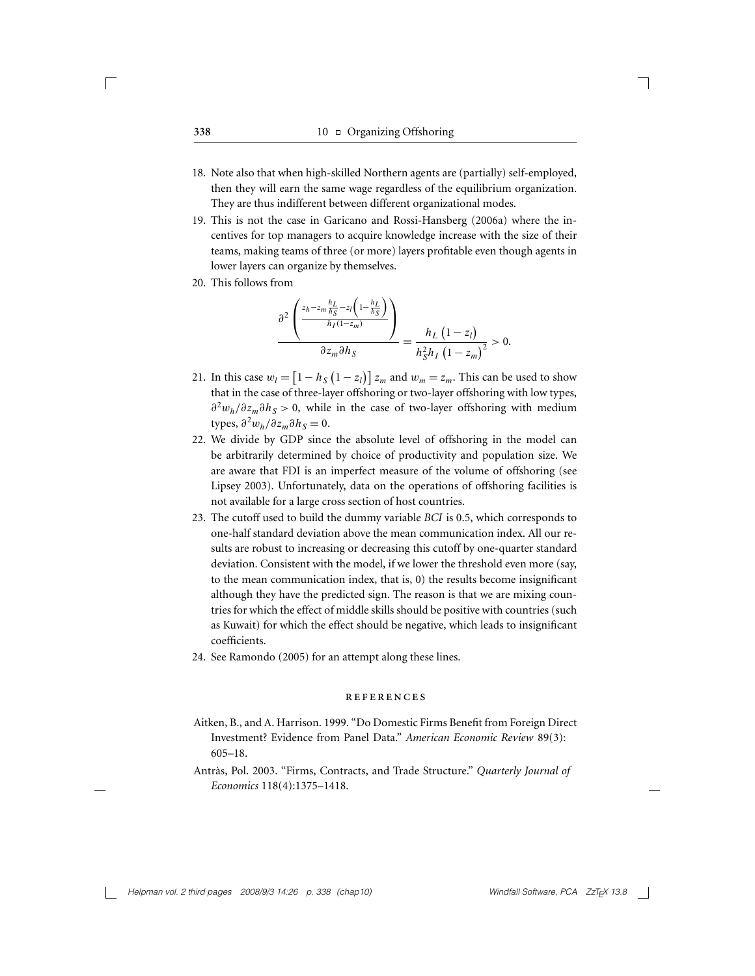- 18. Note also that when high-skilled Northern agents are (partially) self-employed, then they will earn the same wage regardless of the equilibrium organization. They are thus indifferent between different organizational modes.
- 19. This is not the case in Garicano and Rossi-Hansberg (2006a) where the incentives for top managers to acquire knowledge increase with the size of their teams, making teams of three (or more) layers profitable even though agents in lower layers can organize by themselves.
- 20. This follows from

$$
\frac{\partial^2 \left( \frac{z_h - z_m \frac{h_L}{h_S} - z_l \left( 1 - \frac{h_L}{h_S} \right)}{h_I (1 - z_m)} \right)}{\partial z_m \partial h_S} = \frac{h_L \left( 1 - z_l \right)}{h_S^2 h_I \left( 1 - z_m \right)^2} > 0.
$$

- 21. In this case  $w_l = \left[1 h_S\left(1 z_l\right)\right] z_m$  and  $w_m = z_m$ . This can be used to show that in the case of three-layer offshoring or two-layer offshoring with low types,  $∂<sup>2</sup>w<sub>h</sub>/∂z<sub>m</sub>∂h<sub>S</sub> > 0$ , while in the case of two-layer offshoring with medium types,  $\partial^2 w_h / \partial z_m \partial h_S = 0$ .
- 22. We divide by GDP since the absolute level of offshoring in the model can be arbitrarily determined by choice of productivity and population size. We are aware that FDI is an imperfect measure of the volume of offshoring (see Lipsey 2003). Unfortunately, data on the operations of offshoring facilities is not available for a large cross section of host countries.
- 23. The cutoff used to build the dummy variable *BCI* is 0.5, which corresponds to one-half standard deviation above the mean communication index. All our results are robust to increasing or decreasing this cutoff by one-quarter standard deviation. Consistent with the model, if we lower the threshold even more (say, to the mean communication index, that is, 0) the results become insignificant although they have the predicted sign. The reason is that we are mixing countries for which the effect of middle skills should be positive with countries (such as Kuwait) for which the effect should be negative, which leads to insignificant coefficients.
- 24. See Ramondo (2005) for an attempt along these lines.

#### references

- Aitken, B., and A. Harrison. 1999. "Do Domestic Firms Benefit from Foreign Direct Investment? Evidence from Panel Data." *American Economic Review* 89(3): 605–18.
- Antràs, Pol. 2003. "Firms, Contracts, and Trade Structure." Quarterly Journal of *Economics* 118(4):1375–1418.

 $\sqrt{ }$